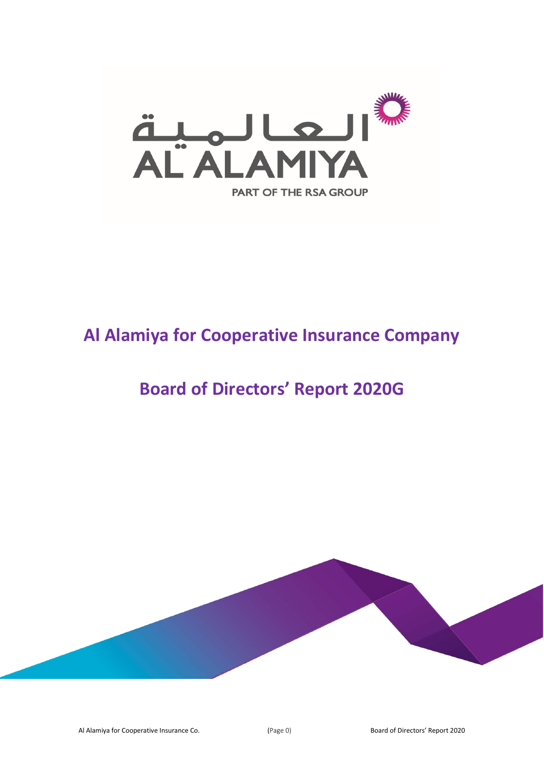

# **Al Alamiya for Cooperative Insurance Company**

## **Board of Directors' Report 2020G**

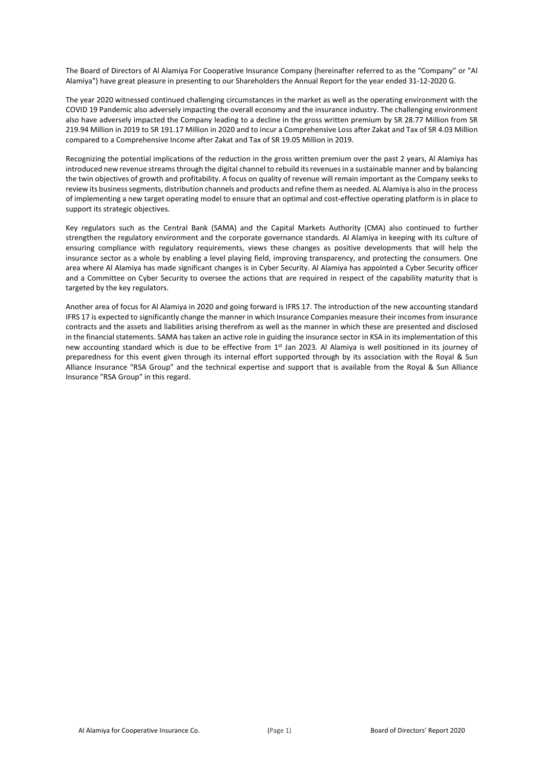The Board of Directors of Al Alamiya For Cooperative Insurance Company (hereinafter referred to as the "Company" or "Al Alamiya") have great pleasure in presenting to our Shareholders the Annual Report for the year ended 31-12-2020 G.

The year 2020 witnessed continued challenging circumstances in the market as well as the operating environment with the COVID 19 Pandemic also adversely impacting the overall economy and the insurance industry. The challenging environment also have adversely impacted the Company leading to a decline in the gross written premium by SR 28.77 Million from SR 219.94 Million in 2019 to SR 191.17 Million in 2020 and to incur a Comprehensive Loss after Zakat and Tax of SR 4.03 Million compared to a Comprehensive Income after Zakat and Tax of SR 19.05 Million in 2019.

Recognizing the potential implications of the reduction in the gross written premium over the past 2 years, Al Alamiya has introduced new revenue streams through the digital channel to rebuild its revenues in a sustainable manner and by balancing the twin objectives of growth and profitability. A focus on quality of revenue will remain important as the Company seeks to review its business segments, distribution channels and products and refine them as needed. AL Alamiya is also in the process of implementing a new target operating model to ensure that an optimal and cost-effective operating platform is in place to support its strategic objectives.

Key regulators such as the Central Bank (SAMA) and the Capital Markets Authority (CMA) also continued to further strengthen the regulatory environment and the corporate governance standards. Al Alamiya in keeping with its culture of ensuring compliance with regulatory requirements, views these changes as positive developments that will help the insurance sector as a whole by enabling a level playing field, improving transparency, and protecting the consumers. One area where Al Alamiya has made significant changes is in Cyber Security. Al Alamiya has appointed a Cyber Security officer and a Committee on Cyber Security to oversee the actions that are required in respect of the capability maturity that is targeted by the key regulators.

Another area of focus for Al Alamiya in 2020 and going forward is IFRS 17. The introduction of the new accounting standard IFRS 17 is expected to significantly change the manner in which Insurance Companies measure their incomes from insurance contracts and the assets and liabilities arising therefrom as well as the manner in which these are presented and disclosed in the financial statements. SAMA has taken an active role in guiding the insurance sector in KSA in its implementation of this new accounting standard which is due to be effective from 1st Jan 2023. Al Alamiya is well positioned in its journey of preparedness for this event given through its internal effort supported through by its association with the Royal & Sun Alliance Insurance "RSA Group" and the technical expertise and support that is available from the Royal & Sun Alliance Insurance "RSA Group" in this regard.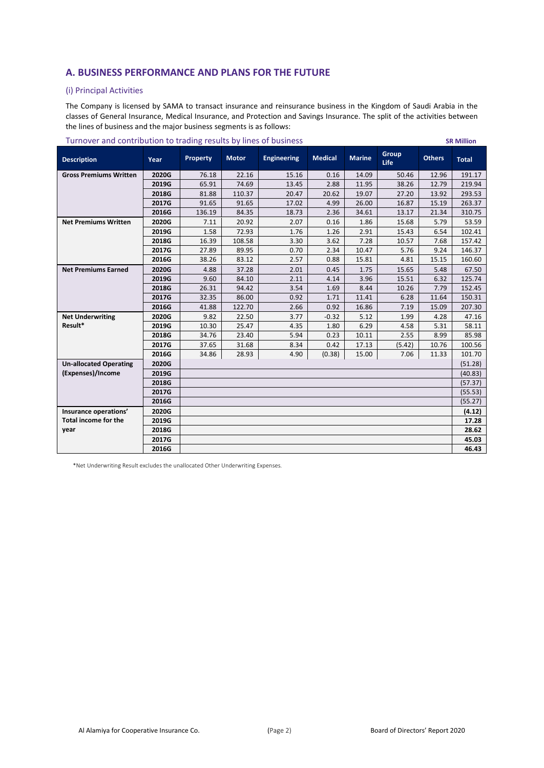### **A. BUSINESS PERFORMANCE AND PLANS FOR THE FUTURE**

### (i) Principal Activities

The Company is licensed by SAMA to transact insurance and reinsurance business in the Kingdom of Saudi Arabia in the classes of General Insurance, Medical Insurance, and Protection and Savings Insurance. The split of the activities between the lines of business and the major business segments is as follows:

|                               |       | $\frac{1}{2}$   |              |                    |                |               |                             |               |              |
|-------------------------------|-------|-----------------|--------------|--------------------|----------------|---------------|-----------------------------|---------------|--------------|
| <b>Description</b>            | Year  | <b>Property</b> | <b>Motor</b> | <b>Engineering</b> | <b>Medical</b> | <b>Marine</b> | <b>Group</b><br><b>Life</b> | <b>Others</b> | <b>Total</b> |
| <b>Gross Premiums Written</b> | 2020G | 76.18           | 22.16        | 15.16              | 0.16           | 14.09         | 50.46                       | 12.96         | 191.17       |
|                               | 2019G | 65.91           | 74.69        | 13.45              | 2.88           | 11.95         | 38.26                       | 12.79         | 219.94       |
|                               | 2018G | 81.88           | 110.37       | 20.47              | 20.62          | 19.07         | 27.20                       | 13.92         | 293.53       |
|                               | 2017G | 91.65           | 91.65        | 17.02              | 4.99           | 26.00         | 16.87                       | 15.19         | 263.37       |
|                               | 2016G | 136.19          | 84.35        | 18.73              | 2.36           | 34.61         | 13.17                       | 21.34         | 310.75       |
| <b>Net Premiums Written</b>   | 2020G | 7.11            | 20.92        | 2.07               | 0.16           | 1.86          | 15.68                       | 5.79          | 53.59        |
|                               | 2019G | 1.58            | 72.93        | 1.76               | 1.26           | 2.91          | 15.43                       | 6.54          | 102.41       |
|                               | 2018G | 16.39           | 108.58       | 3.30               | 3.62           | 7.28          | 10.57                       | 7.68          | 157.42       |
|                               | 2017G | 27.89           | 89.95        | 0.70               | 2.34           | 10.47         | 5.76                        | 9.24          | 146.37       |
|                               | 2016G | 38.26           | 83.12        | 2.57               | 0.88           | 15.81         | 4.81                        | 15.15         | 160.60       |
| <b>Net Premiums Earned</b>    | 2020G | 4.88            | 37.28        | 2.01               | 0.45           | 1.75          | 15.65                       | 5.48          | 67.50        |
|                               | 2019G | 9.60            | 84.10        | 2.11               | 4.14           | 3.96          | 15.51                       | 6.32          | 125.74       |
|                               | 2018G | 26.31           | 94.42        | 3.54               | 1.69           | 8.44          | 10.26                       | 7.79          | 152.45       |
|                               | 2017G | 32.35           | 86.00        | 0.92               | 1.71           | 11.41         | 6.28                        | 11.64         | 150.31       |
|                               | 2016G | 41.88           | 122.70       | 2.66               | 0.92           | 16.86         | 7.19                        | 15.09         | 207.30       |
| <b>Net Underwriting</b>       | 2020G | 9.82            | 22.50        | 3.77               | $-0.32$        | 5.12          | 1.99                        | 4.28          | 47.16        |
| Result*                       | 2019G | 10.30           | 25.47        | 4.35               | 1.80           | 6.29          | 4.58                        | 5.31          | 58.11        |
|                               | 2018G | 34.76           | 23.40        | 5.94               | 0.23           | 10.11         | 2.55                        | 8.99          | 85.98        |
|                               | 2017G | 37.65           | 31.68        | 8.34               | 0.42           | 17.13         | (5.42)                      | 10.76         | 100.56       |
|                               | 2016G | 34.86           | 28.93        | 4.90               | (0.38)         | 15.00         | 7.06                        | 11.33         | 101.70       |
| <b>Un-allocated Operating</b> | 2020G |                 |              |                    |                |               |                             |               | (51.28)      |
| (Expenses)/Income             | 2019G |                 |              |                    |                |               |                             |               | (40.83)      |
|                               | 2018G |                 |              |                    |                |               |                             |               | (57.37)      |
|                               | 2017G |                 |              |                    |                |               |                             |               | (55.53)      |
|                               | 2016G |                 |              |                    |                |               |                             |               | (55.27)      |
| Insurance operations'         | 2020G |                 |              |                    |                |               |                             |               | (4.12)       |
| <b>Total income for the</b>   | 2019G |                 |              |                    |                |               |                             |               | 17.28        |
| year                          | 2018G |                 |              |                    |                |               |                             |               | 28.62        |
|                               | 2017G |                 |              |                    |                |               |                             |               | 45.03        |
|                               | 2016G |                 |              |                    |                |               |                             |               | 46.43        |

#### Turnover and contribution to trading results by lines of business **SR Million**

. \*Net Underwriting Result excludes the unallocated Other Underwriting Expenses.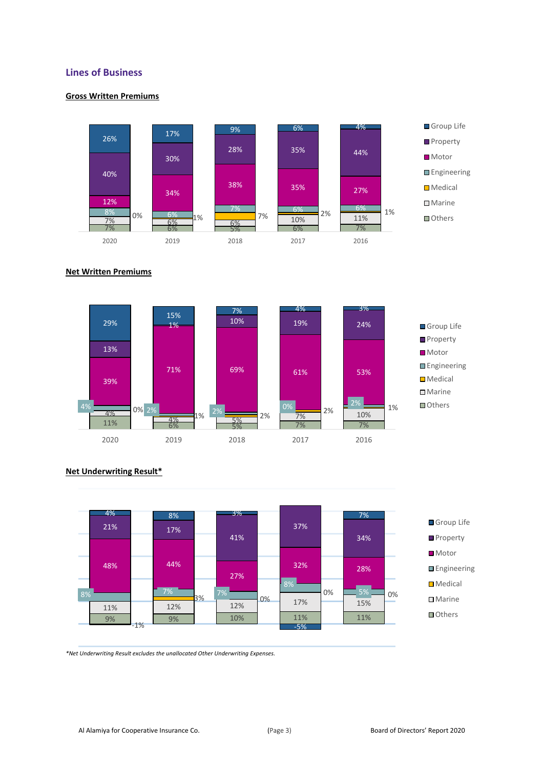### **Lines of Business**

### **Gross Written Premiums**



### **Net Written Premiums**





### **Net Underwriting Result\***

*\*Net Underwriting Result excludes the unallocated Other Underwriting Expenses.*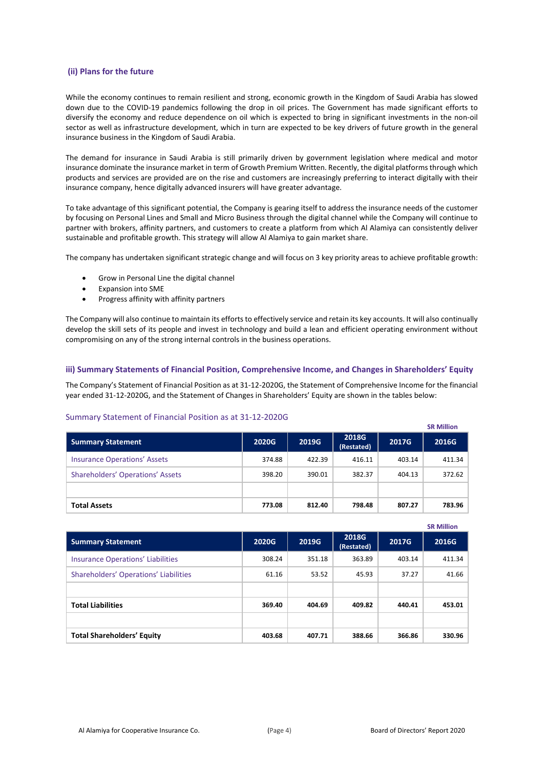#### **(ii) Plans for the future**

While the economy continues to remain resilient and strong, economic growth in the Kingdom of Saudi Arabia has slowed down due to the COVID-19 pandemics following the drop in oil prices. The Government has made significant efforts to diversify the economy and reduce dependence on oil which is expected to bring in significant investments in the non-oil sector as well as infrastructure development, which in turn are expected to be key drivers of future growth in the general insurance business in the Kingdom of Saudi Arabia.

The demand for insurance in Saudi Arabia is still primarily driven by government legislation where medical and motor insurance dominate the insurance market in term of Growth Premium Written. Recently, the digital platforms through which products and services are provided are on the rise and customers are increasingly preferring to interact digitally with their insurance company, hence digitally advanced insurers will have greater advantage.

To take advantage of this significant potential, the Company is gearing itself to address the insurance needs of the customer by focusing on Personal Lines and Small and Micro Business through the digital channel while the Company will continue to partner with brokers, affinity partners, and customers to create a platform from which Al Alamiya can consistently deliver sustainable and profitable growth. This strategy will allow Al Alamiya to gain market share.

The company has undertaken significant strategic change and will focus on 3 key priority areas to achieve profitable growth:

- Grow in Personal Line the digital channel
- Expansion into SME
- Progress affinity with affinity partners

The Company will also continue to maintain its efforts to effectively service and retain its key accounts. It will also continually develop the skill sets of its people and invest in technology and build a lean and efficient operating environment without compromising on any of the strong internal controls in the business operations.

#### **iii) Summary Statements of Financial Position, Comprehensive Income, and Changes in Shareholders' Equity**

The Company's Statement of Financial Position as at 31-12-2020G, the Statement of Comprehensive Income for the financial year ended 31-12-2020G, and the Statement of Changes in Shareholders' Equity are shown in the tables below:

#### Summary Statement of Financial Position as at 31-12-2020G

|                                         |        |        |                            |        | <b>SR Million</b> |
|-----------------------------------------|--------|--------|----------------------------|--------|-------------------|
| <b>Summary Statement</b>                | 2020G  | 2019G  | <b>2018G</b><br>(Restated) | 2017G  | 2016G             |
| <b>Insurance Operations' Assets</b>     | 374.88 | 422.39 | 416.11                     | 403.14 | 411.34            |
| <b>Shareholders' Operations' Assets</b> | 398.20 | 390.01 | 382.37                     | 404.13 | 372.62            |
|                                         |        |        |                            |        |                   |
| <b>Total Assets</b>                     | 773.08 | 812.40 | 798.48                     | 807.27 | 783.96            |

|                                          |        |        |                            |        | <b>SR Million</b> |
|------------------------------------------|--------|--------|----------------------------|--------|-------------------|
| <b>Summary Statement</b>                 | 2020G  | 2019G  | <b>2018G</b><br>(Restated) | 2017G  | 2016G             |
| <b>Insurance Operations' Liabilities</b> | 308.24 | 351.18 | 363.89                     | 403.14 | 411.34            |
| Shareholders' Operations' Liabilities    | 61.16  | 53.52  | 45.93                      | 37.27  | 41.66             |
|                                          |        |        |                            |        |                   |
| <b>Total Liabilities</b>                 | 369.40 | 404.69 | 409.82                     | 440.41 | 453.01            |
|                                          |        |        |                            |        |                   |
| <b>Total Shareholders' Equity</b>        | 403.68 | 407.71 | 388.66                     | 366.86 | 330.96            |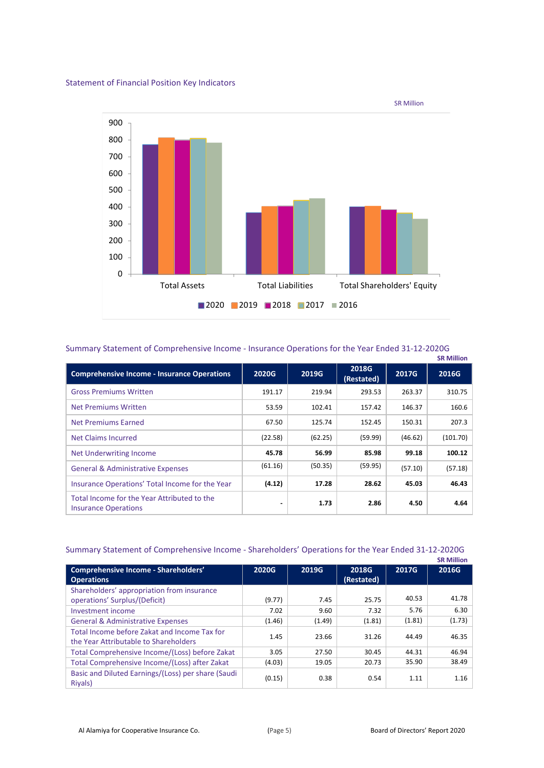### Statement of Financial Position Key Indicators



### Summary Statement of Comprehensive Income - Insurance Operations for the Year Ended 31-12-2020G

|                                                                            |              |         |                            |         | <b>SR Million</b> |
|----------------------------------------------------------------------------|--------------|---------|----------------------------|---------|-------------------|
| <b>Comprehensive Income - Insurance Operations</b>                         | <b>2020G</b> | 2019G   | <b>2018G</b><br>(Restated) | 2017G   | 2016G             |
| <b>Gross Premiums Written</b>                                              | 191.17       | 219.94  | 293.53                     | 263.37  | 310.75            |
| Net Premiums Written                                                       | 53.59        | 102.41  | 157.42                     | 146.37  | 160.6             |
| Net Premiums Earned                                                        | 67.50        | 125.74  | 152.45                     | 150.31  | 207.3             |
| Net Claims Incurred                                                        | (22.58)      | (62.25) | (59.99)                    | (46.62) | (101.70)          |
| Net Underwriting Income                                                    | 45.78        | 56.99   | 85.98                      | 99.18   | 100.12            |
| <b>General &amp; Administrative Expenses</b>                               | (61.16)      | (50.35) | (59.95)                    | (57.10) | (57.18)           |
| Insurance Operations' Total Income for the Year                            | (4.12)       | 17.28   | 28.62                      | 45.03   | 46.43             |
| Total Income for the Year Attributed to the<br><b>Insurance Operations</b> |              | 1.73    | 2.86                       | 4.50    | 4.64              |

### Summary Statement of Comprehensive Income - Shareholders' Operations for the Year Ended 31-12-2020G

|                                                    |        |        |            |        | <b>SR Million</b> |
|----------------------------------------------------|--------|--------|------------|--------|-------------------|
| <b>Comprehensive Income - Shareholders'</b>        | 2020G  | 2019G  | 2018G      | 2017G  | 2016G             |
| <b>Operations</b>                                  |        |        | (Restated) |        |                   |
| Shareholders' appropriation from insurance         |        |        |            |        |                   |
| operations' Surplus/(Deficit)                      | (9.77) | 7.45   | 25.75      | 40.53  | 41.78             |
| Investment income                                  | 7.02   | 9.60   | 7.32       | 5.76   | 6.30              |
| <b>General &amp; Administrative Expenses</b>       | (1.46) | (1.49) | (1.81)     | (1.81) | (1.73)            |
| Total Income before Zakat and Income Tax for       | 1.45   | 23.66  | 31.26      | 44.49  | 46.35             |
| the Year Attributable to Shareholders              |        |        |            |        |                   |
| Total Comprehensive Income/(Loss) before Zakat     | 3.05   | 27.50  | 30.45      | 44.31  | 46.94             |
| Total Comprehensive Income/(Loss) after Zakat      | (4.03) | 19.05  | 20.73      | 35.90  | 38.49             |
| Basic and Diluted Earnings/(Loss) per share (Saudi | (0.15) | 0.38   | 0.54       | 1.11   | 1.16              |
| Riyals)                                            |        |        |            |        |                   |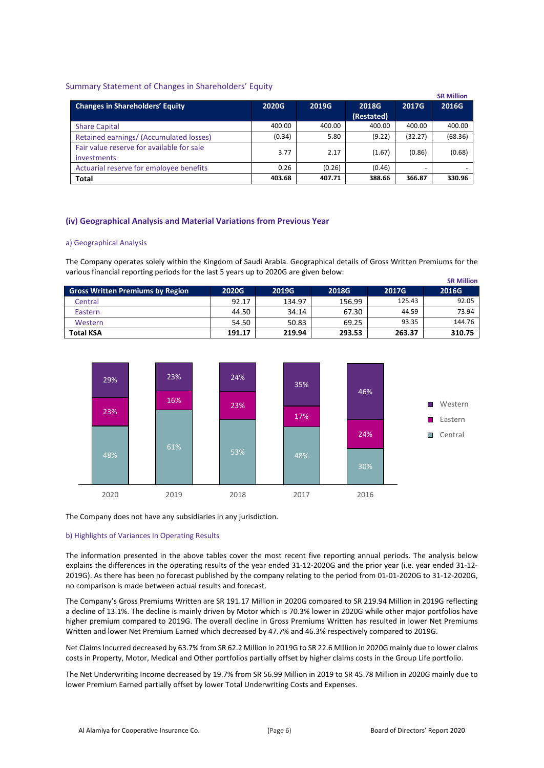### Summary Statement of Changes in Shareholders' Equity

|                                                                 |        |        |                     |         | <b>SR Million</b> |
|-----------------------------------------------------------------|--------|--------|---------------------|---------|-------------------|
| <b>Changes in Shareholders' Equity</b>                          | 2020G  | 2019G  | 2018G<br>(Restated) | 2017G   | 2016G             |
|                                                                 |        |        |                     |         |                   |
| <b>Share Capital</b>                                            | 400.00 | 400.00 | 400.00              | 400.00  | 400.00            |
| Retained earnings/ (Accumulated losses)                         | (0.34) | 5.80   | (9.22)              | (32.27) | (68.36)           |
| Fair value reserve for available for sale<br><i>investments</i> | 3.77   | 2.17   | (1.67)              | (0.86)  | (0.68)            |
| Actuarial reserve for employee benefits                         | 0.26   | (0.26) | (0.46)              |         |                   |
| <b>Total</b>                                                    | 403.68 | 407.71 | 388.66              | 366.87  | 330.96            |

### **(iv) Geographical Analysis and Material Variations from Previous Year**

#### a) Geographical Analysis

The Company operates solely within the Kingdom of Saudi Arabia. Geographical details of Gross Written Premiums for the various financial reporting periods for the last 5 years up to 2020G are given below:

|                                         |        |        |        |        | <b>SR Million</b> |
|-----------------------------------------|--------|--------|--------|--------|-------------------|
| <b>Gross Written Premiums by Region</b> | 2020G  | 2019G  | 2018G  | 2017G  | 2016G             |
| Central                                 | 92.17  | 134.97 | 156.99 | 125.43 | 92.05             |
| Eastern                                 | 44.50  | 34.14  | 67.30  | 44.59  | 73.94             |
| Western                                 | 54.50  | 50.83  | 69.25  | 93.35  | 144.76            |
| <b>Total KSA</b>                        | 191.17 | 219.94 | 293.53 | 263.37 | 310.75            |



The Company does not have any subsidiaries in any jurisdiction.

#### b) Highlights of Variances in Operating Results

The information presented in the above tables cover the most recent five reporting annual periods. The analysis below explains the differences in the operating results of the year ended 31-12-2020G and the prior year (i.e. year ended 31-12- 2019G). As there has been no forecast published by the company relating to the period from 01-01-2020G to 31-12-2020G, no comparison is made between actual results and forecast.

The Company's Gross Premiums Written are SR 191.17 Million in 2020G compared to SR 219.94 Million in 2019G reflecting a decline of 13.1%. The decline is mainly driven by Motor which is 70.3% lower in 2020G while other major portfolios have higher premium compared to 2019G. The overall decline in Gross Premiums Written has resulted in lower Net Premiums Written and lower Net Premium Earned which decreased by 47.7% and 46.3% respectively compared to 2019G.

Net Claims Incurred decreased by 63.7% from SR 62.2 Million in 2019G to SR 22.6 Million in 2020G mainly due to lower claims costs in Property, Motor, Medical and Other portfolios partially offset by higher claims costs in the Group Life portfolio.

The Net Underwriting Income decreased by 19.7% from SR 56.99 Million in 2019 to SR 45.78 Million in 2020G mainly due to lower Premium Earned partially offset by lower Total Underwriting Costs and Expenses.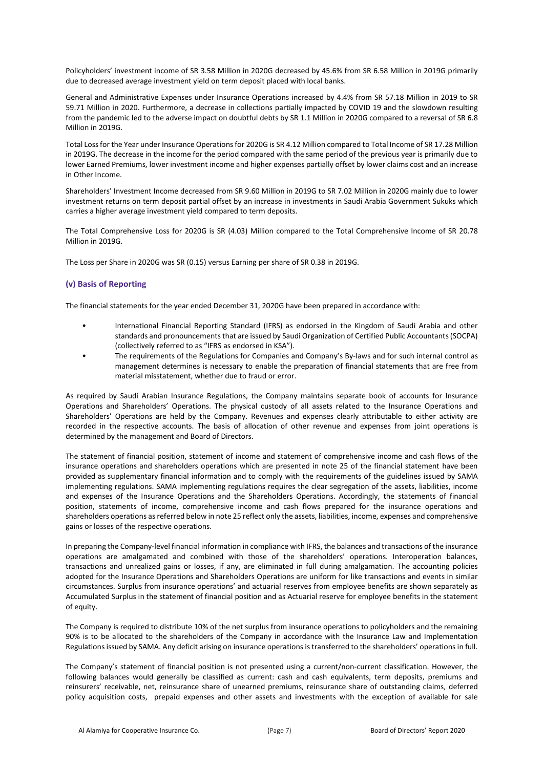Policyholders' investment income of SR 3.58 Million in 2020G decreased by 45.6% from SR 6.58 Million in 2019G primarily due to decreased average investment yield on term deposit placed with local banks.

General and Administrative Expenses under Insurance Operations increased by 4.4% from SR 57.18 Million in 2019 to SR 59.71 Million in 2020. Furthermore, a decrease in collections partially impacted by COVID 19 and the slowdown resulting from the pandemic led to the adverse impact on doubtful debts by SR 1.1 Million in 2020G compared to a reversal of SR 6.8 Million in 2019G.

Total Lossfor the Year under Insurance Operations for 2020G is SR 4.12 Million compared to Total Income of SR 17.28 Million in 2019G. The decrease in the income for the period compared with the same period of the previous year is primarily due to lower Earned Premiums, lower investment income and higher expenses partially offset by lower claims cost and an increase in Other Income.

Shareholders' Investment Income decreased from SR 9.60 Million in 2019G to SR 7.02 Million in 2020G mainly due to lower investment returns on term deposit partial offset by an increase in investments in Saudi Arabia Government Sukuks which carries a higher average investment yield compared to term deposits.

The Total Comprehensive Loss for 2020G is SR (4.03) Million compared to the Total Comprehensive Income of SR 20.78 Million in 2019G.

The Loss per Share in 2020G was SR (0.15) versus Earning per share of SR 0.38 in 2019G.

### **(v) Basis of Reporting**

The financial statements for the year ended December 31, 2020G have been prepared in accordance with:

- International Financial Reporting Standard (IFRS) as endorsed in the Kingdom of Saudi Arabia and other standards and pronouncements that are issued by Saudi Organization of Certified Public Accountants (SOCPA) (collectively referred to as "IFRS as endorsed in KSA").
- The requirements of the Regulations for Companies and Company's By-laws and for such internal control as management determines is necessary to enable the preparation of financial statements that are free from material misstatement, whether due to fraud or error.

As required by Saudi Arabian Insurance Regulations, the Company maintains separate book of accounts for Insurance Operations and Shareholders' Operations. The physical custody of all assets related to the Insurance Operations and Shareholders' Operations are held by the Company. Revenues and expenses clearly attributable to either activity are recorded in the respective accounts. The basis of allocation of other revenue and expenses from joint operations is determined by the management and Board of Directors.

The statement of financial position, statement of income and statement of comprehensive income and cash flows of the insurance operations and shareholders operations which are presented in note 25 of the financial statement have been provided as supplementary financial information and to comply with the requirements of the guidelines issued by SAMA implementing regulations. SAMA implementing regulations requires the clear segregation of the assets, liabilities, income and expenses of the Insurance Operations and the Shareholders Operations. Accordingly, the statements of financial position, statements of income, comprehensive income and cash flows prepared for the insurance operations and shareholders operations as referred below in note 25 reflect only the assets, liabilities, income, expenses and comprehensive gains or losses of the respective operations.

In preparing the Company-level financial information in compliance with IFRS, the balances and transactions of the insurance operations are amalgamated and combined with those of the shareholders' operations. Interoperation balances, transactions and unrealized gains or losses, if any, are eliminated in full during amalgamation. The accounting policies adopted for the Insurance Operations and Shareholders Operations are uniform for like transactions and events in similar circumstances. Surplus from insurance operations' and actuarial reserves from employee benefits are shown separately as Accumulated Surplus in the statement of financial position and as Actuarial reserve for employee benefits in the statement of equity.

The Company is required to distribute 10% of the net surplus from insurance operations to policyholders and the remaining 90% is to be allocated to the shareholders of the Company in accordance with the Insurance Law and Implementation Regulations issued by SAMA. Any deficit arising on insurance operations is transferred to the shareholders' operations in full.

The Company's statement of financial position is not presented using a current/non-current classification. However, the following balances would generally be classified as current: cash and cash equivalents, term deposits, premiums and reinsurers' receivable, net, reinsurance share of unearned premiums, reinsurance share of outstanding claims, deferred policy acquisition costs, prepaid expenses and other assets and investments with the exception of available for sale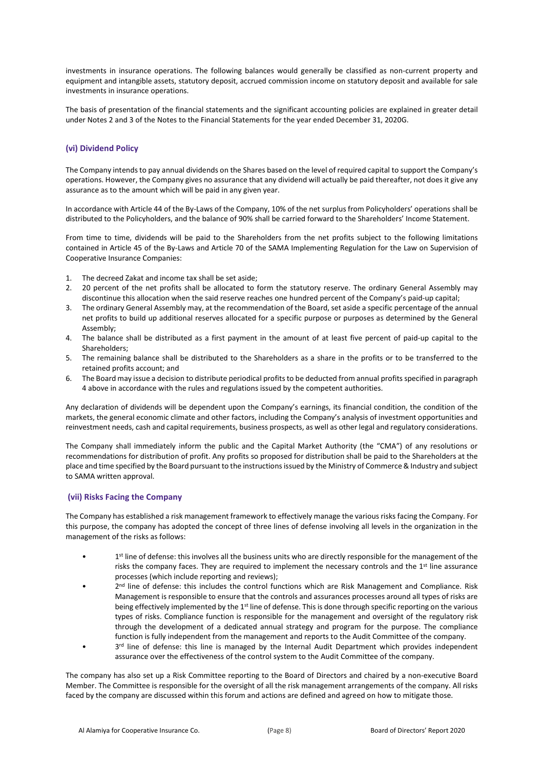investments in insurance operations. The following balances would generally be classified as non-current property and equipment and intangible assets, statutory deposit, accrued commission income on statutory deposit and available for sale investments in insurance operations.

The basis of presentation of the financial statements and the significant accounting policies are explained in greater detail under Notes 2 and 3 of the Notes to the Financial Statements for the year ended December 31, 2020G.

### **(vi) Dividend Policy**

The Company intends to pay annual dividends on the Shares based on the level of required capital to support the Company's operations. However, the Company gives no assurance that any dividend will actually be paid thereafter, not does it give any assurance as to the amount which will be paid in any given year.

In accordance with Article 44 of the By-Laws of the Company, 10% of the net surplus from Policyholders' operations shall be distributed to the Policyholders, and the balance of 90% shall be carried forward to the Shareholders' Income Statement.

From time to time, dividends will be paid to the Shareholders from the net profits subject to the following limitations contained in Article 45 of the By-Laws and Article 70 of the SAMA Implementing Regulation for the Law on Supervision of Cooperative Insurance Companies:

- 1. The decreed Zakat and income tax shall be set aside;
- 2. 20 percent of the net profits shall be allocated to form the statutory reserve. The ordinary General Assembly may discontinue this allocation when the said reserve reaches one hundred percent of the Company's paid-up capital;
- 3. The ordinary General Assembly may, at the recommendation of the Board, set aside a specific percentage of the annual net profits to build up additional reserves allocated for a specific purpose or purposes as determined by the General Assembly;
- 4. The balance shall be distributed as a first payment in the amount of at least five percent of paid-up capital to the Shareholders;
- 5. The remaining balance shall be distributed to the Shareholders as a share in the profits or to be transferred to the retained profits account; and
- 6. The Board may issue a decision to distribute periodical profits to be deducted from annual profits specified in paragraph 4 above in accordance with the rules and regulations issued by the competent authorities.

Any declaration of dividends will be dependent upon the Company's earnings, its financial condition, the condition of the markets, the general economic climate and other factors, including the Company's analysis of investment opportunities and reinvestment needs, cash and capital requirements, business prospects, as well as other legal and regulatory considerations.

The Company shall immediately inform the public and the Capital Market Authority (the "CMA") of any resolutions or recommendations for distribution of profit. Any profits so proposed for distribution shall be paid to the Shareholders at the place and time specified by the Board pursuant to the instructions issued by the Ministry of Commerce & Industry and subject to SAMA written approval.

#### **(vii) Risks Facing the Company**

The Company has established a risk management framework to effectively manage the various risks facing the Company. For this purpose, the company has adopted the concept of three lines of defense involving all levels in the organization in the management of the risks as follows:

- 1<sup>st</sup> line of defense: this involves all the business units who are directly responsible for the management of the risks the company faces. They are required to implement the necessary controls and the 1<sup>st</sup> line assurance processes (which include reporting and reviews);
- 2<sup>nd</sup> line of defense: this includes the control functions which are Risk Management and Compliance. Risk Management is responsible to ensure that the controls and assurances processes around all types of risks are being effectively implemented by the 1<sup>st</sup> line of defense. This is done through specific reporting on the various types of risks. Compliance function is responsible for the management and oversight of the regulatory risk through the development of a dedicated annual strategy and program for the purpose. The compliance function is fully independent from the management and reports to the Audit Committee of the company.
- 3<sup>rd</sup> line of defense: this line is managed by the Internal Audit Department which provides independent assurance over the effectiveness of the control system to the Audit Committee of the company.

The company has also set up a Risk Committee reporting to the Board of Directors and chaired by a non-executive Board Member. The Committee is responsible for the oversight of all the risk management arrangements of the company. All risks faced by the company are discussed within this forum and actions are defined and agreed on how to mitigate those.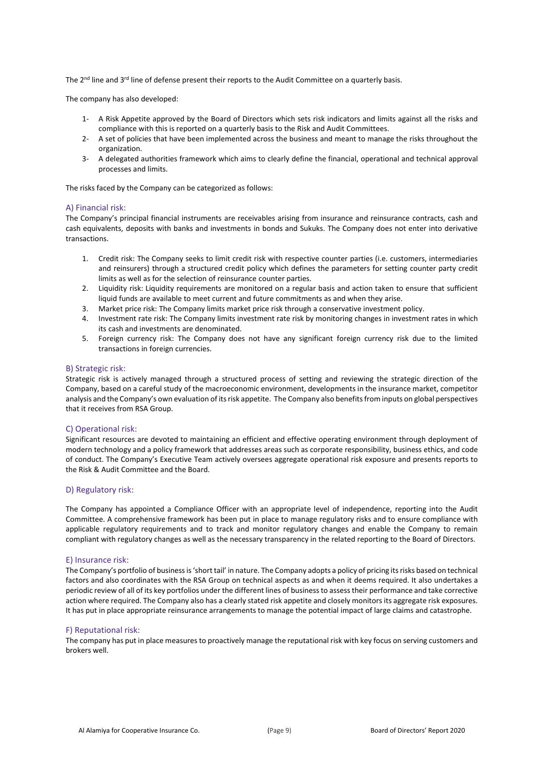The 2<sup>nd</sup> line and 3<sup>rd</sup> line of defense present their reports to the Audit Committee on a quarterly basis.

The company has also developed:

- 1- A Risk Appetite approved by the Board of Directors which sets risk indicators and limits against all the risks and compliance with this is reported on a quarterly basis to the Risk and Audit Committees.
- 2- A set of policies that have been implemented across the business and meant to manage the risks throughout the organization.
- 3- A delegated authorities framework which aims to clearly define the financial, operational and technical approval processes and limits.

The risks faced by the Company can be categorized as follows:

#### A) Financial risk:

The Company's principal financial instruments are receivables arising from insurance and reinsurance contracts, cash and cash equivalents, deposits with banks and investments in bonds and Sukuks. The Company does not enter into derivative transactions.

- 1. Credit risk: The Company seeks to limit credit risk with respective counter parties (i.e. customers, intermediaries and reinsurers) through a structured credit policy which defines the parameters for setting counter party credit limits as well as for the selection of reinsurance counter parties.
- 2. Liquidity risk: Liquidity requirements are monitored on a regular basis and action taken to ensure that sufficient liquid funds are available to meet current and future commitments as and when they arise.
- 3. Market price risk: The Company limits market price risk through a conservative investment policy.
- 4. Investment rate risk: The Company limits investment rate risk by monitoring changes in investment rates in which its cash and investments are denominated.
- 5. Foreign currency risk: The Company does not have any significant foreign currency risk due to the limited transactions in foreign currencies.

#### B) Strategic risk:

Strategic risk is actively managed through a structured process of setting and reviewing the strategic direction of the Company, based on a careful study of the macroeconomic environment, developments in the insurance market, competitor analysis and the Company's own evaluation of its risk appetite. The Company also benefits from inputs on global perspectives that it receives from RSA Group.

#### C) Operational risk:

Significant resources are devoted to maintaining an efficient and effective operating environment through deployment of modern technology and a policy framework that addresses areas such as corporate responsibility, business ethics, and code of conduct. The Company's Executive Team actively oversees aggregate operational risk exposure and presents reports to the Risk & Audit Committee and the Board.

#### D) Regulatory risk:

The Company has appointed a Compliance Officer with an appropriate level of independence, reporting into the Audit Committee. A comprehensive framework has been put in place to manage regulatory risks and to ensure compliance with applicable regulatory requirements and to track and monitor regulatory changes and enable the Company to remain compliant with regulatory changes as well as the necessary transparency in the related reporting to the Board of Directors.

#### E) Insurance risk:

The Company's portfolio of business is 'short tail' in nature. The Company adopts a policy of pricing its risks based on technical factors and also coordinates with the RSA Group on technical aspects as and when it deems required. It also undertakes a periodic review of all of its key portfolios under the different lines of business to assess their performance and take corrective action where required. The Company also has a clearly stated risk appetite and closely monitors its aggregate risk exposures. It has put in place appropriate reinsurance arrangements to manage the potential impact of large claims and catastrophe.

#### F) Reputational risk:

The company has put in place measures to proactively manage the reputational risk with key focus on serving customers and brokers well.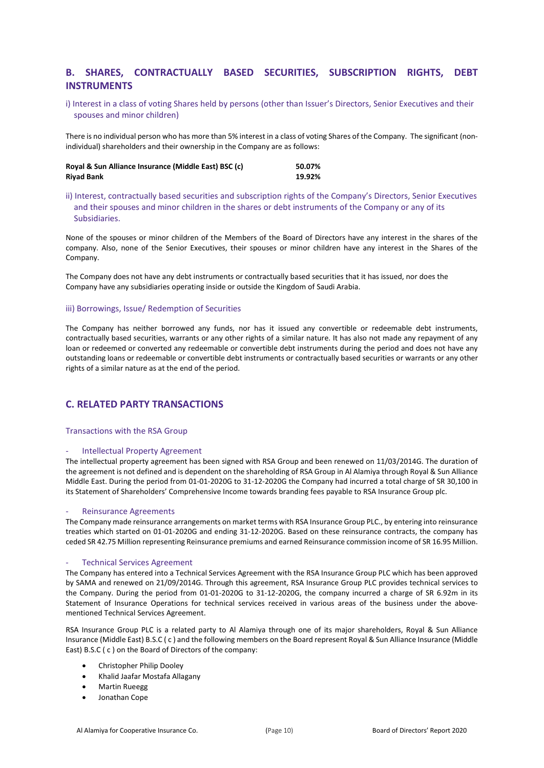### **B. SHARES, CONTRACTUALLY BASED SECURITIES, SUBSCRIPTION RIGHTS, DEBT INSTRUMENTS**

i) Interest in a class of voting Shares held by persons (other than Issuer's Directors, Senior Executives and their spouses and minor children)

There is no individual person who has more than 5% interest in a class of voting Shares of the Company. The significant (nonindividual) shareholders and their ownership in the Company are as follows:

| Royal & Sun Alliance Insurance (Middle East) BSC (c) | 50.07% |
|------------------------------------------------------|--------|
| <b>Riyad Bank</b>                                    | 19.92% |

ii) Interest, contractually based securities and subscription rights of the Company's Directors, Senior Executives and their spouses and minor children in the shares or debt instruments of the Company or any of its Subsidiaries.

None of the spouses or minor children of the Members of the Board of Directors have any interest in the shares of the company. Also, none of the Senior Executives, their spouses or minor children have any interest in the Shares of the Company.

The Company does not have any debt instruments or contractually based securities that it has issued, nor does the Company have any subsidiaries operating inside or outside the Kingdom of Saudi Arabia.

### iii) Borrowings, Issue/ Redemption of Securities

The Company has neither borrowed any funds, nor has it issued any convertible or redeemable debt instruments, contractually based securities, warrants or any other rights of a similar nature. It has also not made any repayment of any loan or redeemed or converted any redeemable or convertible debt instruments during the period and does not have any outstanding loans or redeemable or convertible debt instruments or contractually based securities or warrants or any other rights of a similar nature as at the end of the period.

### **C. RELATED PARTY TRANSACTIONS**

#### Transactions with the RSA Group

#### - Intellectual Property Agreement

The intellectual property agreement has been signed with RSA Group and been renewed on 11/03/2014G. The duration of the agreement is not defined and is dependent on the shareholding of RSA Group in Al Alamiya through Royal & Sun Alliance Middle East. During the period from 01-01-2020G to 31-12-2020G the Company had incurred a total charge of SR 30,100 in its Statement of Shareholders' Comprehensive Income towards branding fees payable to RSA Insurance Group plc.

#### Reinsurance Agreements

The Company made reinsurance arrangements on market terms with RSA Insurance Group PLC., by entering into reinsurance treaties which started on 01-01-2020G and ending 31-12-2020G. Based on these reinsurance contracts, the company has ceded SR 42.75 Million representing Reinsurance premiums and earned Reinsurance commission income of SR 16.95 Million.

#### Technical Services Agreement

The Company has entered into a Technical Services Agreement with the RSA Insurance Group PLC which has been approved by SAMA and renewed on 21/09/2014G. Through this agreement, RSA Insurance Group PLC provides technical services to the Company. During the period from 01-01-2020G to 31-12-2020G, the company incurred a charge of SR 6.92m in its Statement of Insurance Operations for technical services received in various areas of the business under the abovementioned Technical Services Agreement.

RSA Insurance Group PLC is a related party to Al Alamiya through one of its major shareholders, Royal & Sun Alliance Insurance (Middle East) B.S.C ( c ) and the following members on the Board represent Royal & Sun Alliance Insurance (Middle East) B.S.C ( c ) on the Board of Directors of the company:

- Christopher Philip Dooley
- Khalid Jaafar Mostafa Allagany
- Martin Rueegg
- Jonathan Cope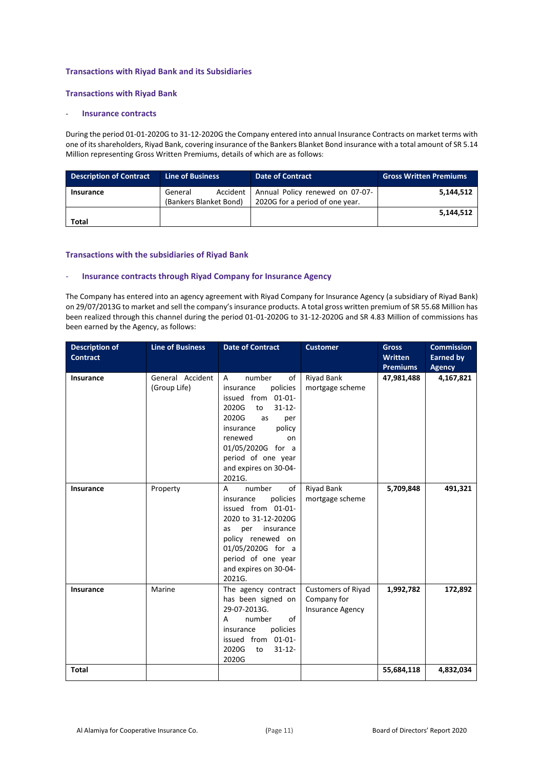### **Transactions with Riyad Bank and its Subsidiaries**

#### **Transactions with Riyad Bank**

### - **Insurance contracts**

During the period 01-01-2020G to 31-12-2020G the Company entered into annual Insurance Contracts on market terms with one of its shareholders, Riyad Bank, covering insurance of the Bankers Blanket Bond insurance with a total amount of SR 5.14 Million representing Gross Written Premiums, details of which are as follows:

| <b>Description of Contract</b> | Line of Business                              | <b>Date of Contract</b>                                            | <b>Gross Written Premiums</b> |
|--------------------------------|-----------------------------------------------|--------------------------------------------------------------------|-------------------------------|
| Insurance                      | Accident<br>General<br>(Bankers Blanket Bond) | Annual Policy renewed on 07-07-<br>2020G for a period of one year. | 5.144.512                     |
| <b>Total</b>                   |                                               |                                                                    | 5,144,512                     |

#### **Transactions with the subsidiaries of Riyad Bank**

#### - **Insurance contracts through Riyad Company for Insurance Agency**

The Company has entered into an agency agreement with Riyad Company for Insurance Agency (a subsidiary of Riyad Bank) on 29/07/2013G to market and sell the company's insurance products. A total gross written premium of SR 55.68 Million has been realized through this channel during the period 01-01-2020G to 31-12-2020G and SR 4.83 Million of commissions has been earned by the Agency, as follows:

| <b>Description of</b><br><b>Contract</b> | <b>Line of Business</b>          | <b>Date of Contract</b>                                                                                                                                                                                                                    | <b>Customer</b>                                              | <b>Gross</b><br><b>Written</b> | <b>Commission</b><br><b>Earned by</b> |
|------------------------------------------|----------------------------------|--------------------------------------------------------------------------------------------------------------------------------------------------------------------------------------------------------------------------------------------|--------------------------------------------------------------|--------------------------------|---------------------------------------|
|                                          |                                  |                                                                                                                                                                                                                                            |                                                              | <b>Premiums</b>                | <b>Agency</b>                         |
| Insurance                                | General Accident<br>(Group Life) | number<br>of<br>A<br>policies<br>insurance<br>issued from 01-01-<br>2020G<br>$31 - 12 -$<br>to<br>2020G<br>as<br>per<br>policy<br>insurance<br>renewed<br>on<br>01/05/2020G for a<br>period of one year<br>and expires on 30-04-<br>2021G. | Riyad Bank<br>mortgage scheme                                | 47,981,488                     | 4,167,821                             |
| Insurance                                | Property                         | number<br>A<br>of<br>policies<br>insurance<br>issued from 01-01-<br>2020 to 31-12-2020G<br>insurance<br>per<br>as<br>policy renewed on<br>01/05/2020G for a<br>period of one year<br>and expires on 30-04-<br>2021G.                       | <b>Riyad Bank</b><br>mortgage scheme                         | 5,709,848                      | 491,321                               |
| Insurance                                | Marine                           | The agency contract<br>has been signed on<br>29-07-2013G.<br>number<br>of<br>A<br>policies<br>insurance<br>issued from 01-01-<br>2020G<br>$31 - 12 -$<br>to<br>2020G                                                                       | Customers of Riyad<br>Company for<br><b>Insurance Agency</b> | 1,992,782                      | 172,892                               |
| <b>Total</b>                             |                                  |                                                                                                                                                                                                                                            |                                                              | 55,684,118                     | 4,832,034                             |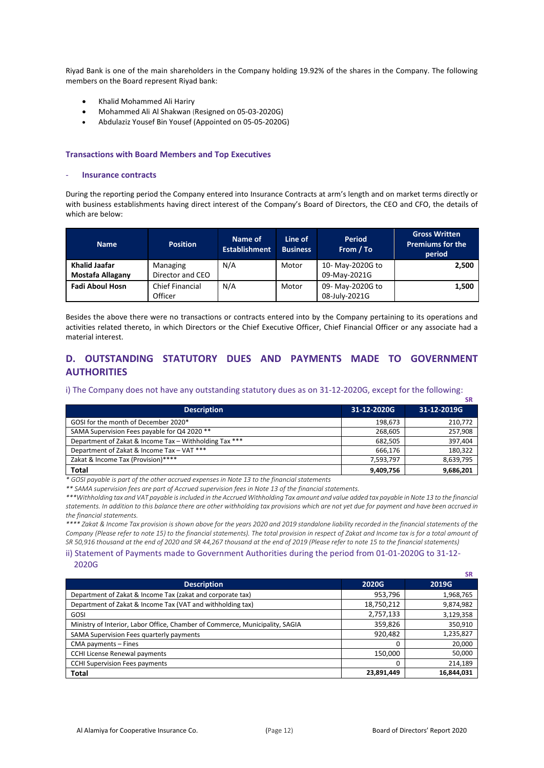Riyad Bank is one of the main shareholders in the Company holding 19.92% of the shares in the Company. The following members on the Board represent Riyad bank:

- Khalid Mohammed Ali Hariry
- Mohammed Ali Al Shakwan (Resigned on 05-03-2020G)
- Abdulaziz Yousef Bin Yousef (Appointed on 05-05-2020G)

#### **Transactions with Board Members and Top Executives**

#### - **Insurance contracts**

During the reporting period the Company entered into Insurance Contracts at arm's length and on market terms directly or with business establishments having direct interest of the Company's Board of Directors, the CEO and CFO, the details of which are below:

| <b>Name</b>             | <b>Position</b>        | Name of<br><b>Establishment</b> | Line of<br><b>Business</b> | Period<br>From / To | <b>Gross Written</b><br><b>Premiums for the</b><br>period |
|-------------------------|------------------------|---------------------------------|----------------------------|---------------------|-----------------------------------------------------------|
| <b>Khalid Jaafar</b>    | Managing               | N/A                             | Motor                      | 10- May-2020G to    | 2,500                                                     |
| <b>Mostafa Allagany</b> | Director and CEO       |                                 |                            | 09-May-2021G        |                                                           |
| <b>Fadi Aboul Hosn</b>  | <b>Chief Financial</b> | N/A                             | Motor                      | 09- May-2020G to    | 1,500                                                     |
|                         | Officer                |                                 |                            | 08-July-2021G       |                                                           |

Besides the above there were no transactions or contracts entered into by the Company pertaining to its operations and activities related thereto, in which Directors or the Chief Executive Officer, Chief Financial Officer or any associate had a material interest.

### **D. OUTSTANDING STATUTORY DUES AND PAYMENTS MADE TO GOVERNMENT AUTHORITIES**

### i) The Company does not have any outstanding statutory dues as on 31-12-2020G, except for the following:

|                                                        |             | <b>SR</b>   |
|--------------------------------------------------------|-------------|-------------|
| <b>Description</b>                                     | 31-12-2020G | 31-12-2019G |
| GOSI for the month of December 2020*                   | 198,673     | 210,772     |
| SAMA Supervision Fees payable for Q4 2020 **           | 268.605     | 257,908     |
| Department of Zakat & Income Tax - Withholding Tax *** | 682.505     | 397,404     |
| Department of Zakat & Income Tax - VAT ***             | 666.176     | 180,322     |
| Zakat & Income Tax (Provision)****                     | 7,593,797   | 8,639,795   |
| <b>Total</b>                                           | 9,409,756   | 9,686,201   |

*\* GOSI payable is part of the other accrued expenses in Note 13 to the financial statements*

*\*\* SAMA supervision fees are part of Accrued supervision fees in Note 13 of the financial statements.* 

*\*\*\*Withholding tax and VAT payable is included in the Accrued Withholding Tax amount and value added tax payable in Note 13 to the financial statements. In addition to this balance there are other withholding tax provisions which are not yet due for payment and have been accrued in the financial statements.*

*\*\*\*\* Zakat & Income Tax provision is shown above for the years 2020 and 2019 standalone liability recorded in the financial statements of the Company (Please refer to note 15) to the financial statements). The total provision in respect of Zakat and Income tax is for a total amount of SR 50,916 thousand at the end of 2020 and SR 44,267 thousand at the end of 2019 (Please refer to note 15 to the financial statements)*

### ii) Statement of Payments made to Government Authorities during the period from 01-01-2020G to 31-12- 2020G

|                                                                              |              | эκ           |
|------------------------------------------------------------------------------|--------------|--------------|
| <b>Description</b>                                                           | <b>2020G</b> | <b>2019G</b> |
| Department of Zakat & Income Tax (zakat and corporate tax)                   | 953,796      | 1,968,765    |
| Department of Zakat & Income Tax (VAT and withholding tax)                   | 18,750,212   | 9,874,982    |
| GOSI                                                                         | 2,757,133    | 3,129,358    |
| Ministry of Interior, Labor Office, Chamber of Commerce, Municipality, SAGIA | 359,826      | 350,910      |
| SAMA Supervision Fees quarterly payments                                     | 920,482      | 1,235,827    |
| CMA payments - Fines                                                         | 0            | 20,000       |
| <b>CCHI License Renewal payments</b>                                         | 150,000      | 50,000       |
| <b>CCHI Supervision Fees payments</b>                                        | 0            | 214,189      |
| <b>Total</b>                                                                 | 23,891,449   | 16,844,031   |

**SR**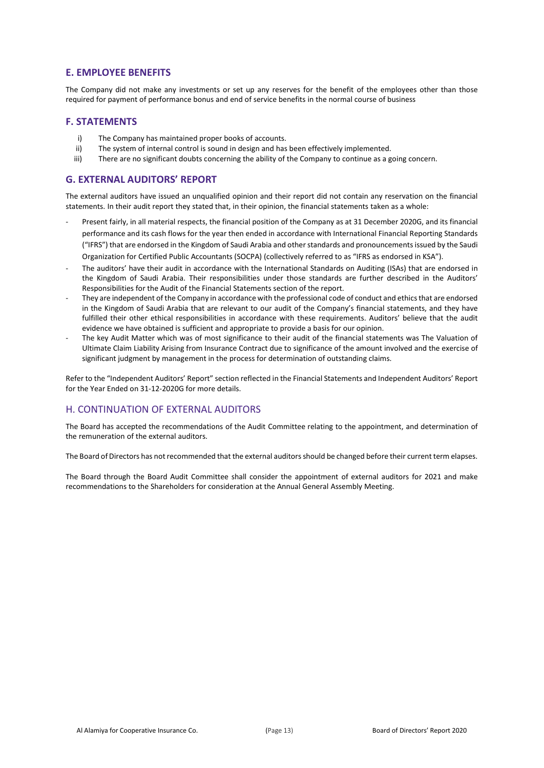### **E. EMPLOYEE BENEFITS**

The Company did not make any investments or set up any reserves for the benefit of the employees other than those required for payment of performance bonus and end of service benefits in the normal course of business

### **F. STATEMENTS**

- i) The Company has maintained proper books of accounts.
- ii) The system of internal control is sound in design and has been effectively implemented.
- iii) There are no significant doubts concerning the ability of the Company to continue as a going concern.

### **G. EXTERNAL AUDITORS' REPORT**

The external auditors have issued an unqualified opinion and their report did not contain any reservation on the financial statements. In their audit report they stated that, in their opinion, the financial statements taken as a whole:

- Present fairly, in all material respects, the financial position of the Company as at 31 December 2020G, and its financial performance and its cash flows for the year then ended in accordance with International Financial Reporting Standards ("IFRS") that are endorsed in the Kingdom of Saudi Arabia and other standards and pronouncements issued by the Saudi Organization for Certified Public Accountants (SOCPA) (collectively referred to as "IFRS as endorsed in KSA").
- The auditors' have their audit in accordance with the International Standards on Auditing (ISAs) that are endorsed in the Kingdom of Saudi Arabia. Their responsibilities under those standards are further described in the Auditors' Responsibilities for the Audit of the Financial Statements section of the report.
- They are independent of the Company in accordance with the professional code of conduct and ethics that are endorsed in the Kingdom of Saudi Arabia that are relevant to our audit of the Company's financial statements, and they have fulfilled their other ethical responsibilities in accordance with these requirements. Auditors' believe that the audit evidence we have obtained is sufficient and appropriate to provide a basis for our opinion.
- The key Audit Matter which was of most significance to their audit of the financial statements was The Valuation of Ultimate Claim Liability Arising from Insurance Contract due to significance of the amount involved and the exercise of significant judgment by management in the process for determination of outstanding claims.

Refer to the "Independent Auditors' Report" section reflected in the Financial Statements and Independent Auditors' Report for the Year Ended on 31-12-2020G for more details.

### H. CONTINUATION OF EXTERNAL AUDITORS

The Board has accepted the recommendations of the Audit Committee relating to the appointment, and determination of the remuneration of the external auditors.

The Board of Directors has not recommended that the external auditors should be changed before their current term elapses.

The Board through the Board Audit Committee shall consider the appointment of external auditors for 2021 and make recommendations to the Shareholders for consideration at the Annual General Assembly Meeting.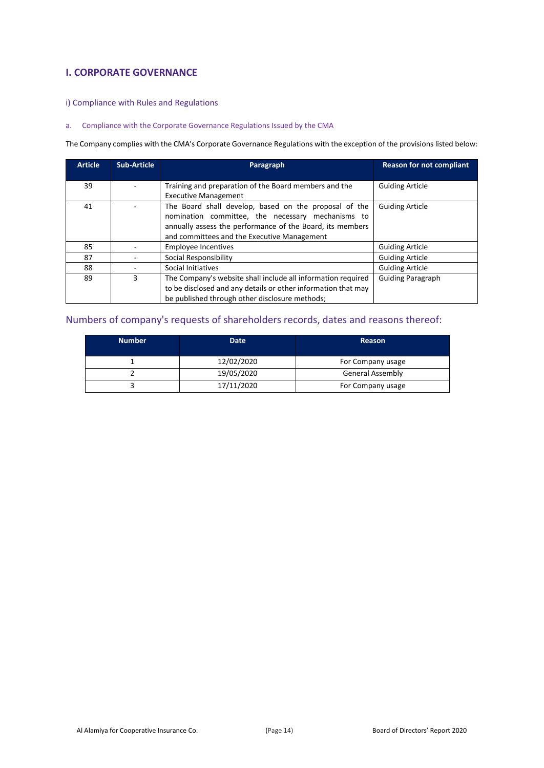### **I. CORPORATE GOVERNANCE**

- i) Compliance with Rules and Regulations
- a. Compliance with the Corporate Governance Regulations Issued by the CMA

The Company complies with the CMA's Corporate Governance Regulations with the exception of the provisions listed below:

| <b>Article</b> | <b>Sub-Article</b> | Paragraph                                                                                                                                                                                                              | <b>Reason for not compliant</b> |
|----------------|--------------------|------------------------------------------------------------------------------------------------------------------------------------------------------------------------------------------------------------------------|---------------------------------|
| 39             |                    | Training and preparation of the Board members and the<br><b>Executive Management</b>                                                                                                                                   | <b>Guiding Article</b>          |
| 41             |                    | The Board shall develop, based on the proposal of the<br>nomination committee, the necessary mechanisms to<br>annually assess the performance of the Board, its members<br>and committees and the Executive Management | <b>Guiding Article</b>          |
| 85             |                    | <b>Employee Incentives</b>                                                                                                                                                                                             | <b>Guiding Article</b>          |
| 87             |                    | Social Responsibility                                                                                                                                                                                                  | <b>Guiding Article</b>          |
| 88             |                    | Social Initiatives                                                                                                                                                                                                     | <b>Guiding Article</b>          |
| 89             | 3                  | The Company's website shall include all information required<br>to be disclosed and any details or other information that may<br>be published through other disclosure methods;                                        | <b>Guiding Paragraph</b>        |

### Numbers of company's requests of shareholders records, dates and reasons thereof:

| <b>Number</b> | Date       | <b>Reason</b>           |
|---------------|------------|-------------------------|
|               | 12/02/2020 | For Company usage       |
|               | 19/05/2020 | <b>General Assembly</b> |
|               | 17/11/2020 | For Company usage       |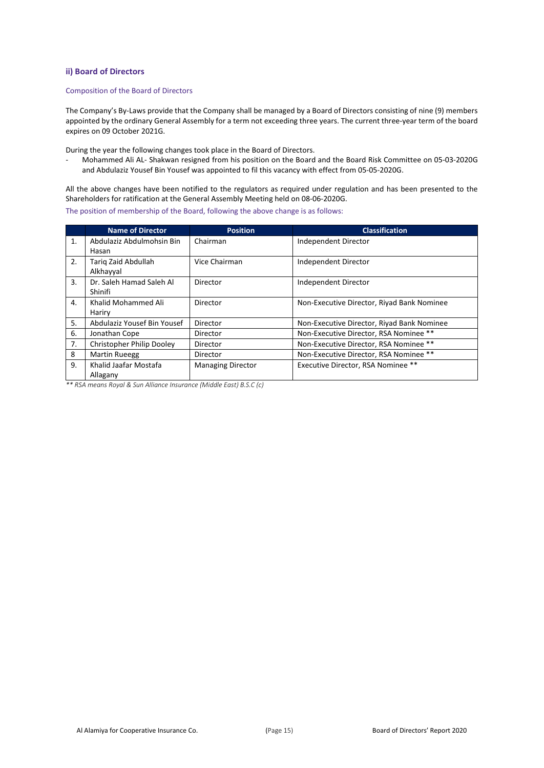#### **ii) Board of Directors**

#### Composition of the Board of Directors

The Company's By-Laws provide that the Company shall be managed by a Board of Directors consisting of nine (9) members appointed by the ordinary General Assembly for a term not exceeding three years. The current three-year term of the board expires on 09 October 2021G.

During the year the following changes took place in the Board of Directors.

- Mohammed Ali AL- Shakwan resigned from his position on the Board and the Board Risk Committee on 05-03-2020G and Abdulaziz Yousef Bin Yousef was appointed to fil this vacancy with effect from 05-05-2020G.

All the above changes have been notified to the regulators as required under regulation and has been presented to the Shareholders for ratification at the General Assembly Meeting held on 08-06-2020G.

The position of membership of the Board, following the above change is as follows:

|    | <b>Name of Director</b>     | <b>Position</b>          | <b>Classification</b>                      |
|----|-----------------------------|--------------------------|--------------------------------------------|
| 1. | Abdulaziz Abdulmohsin Bin   | Chairman                 | Independent Director                       |
|    | Hasan                       |                          |                                            |
| 2. | Tariq Zaid Abdullah         | Vice Chairman            | Independent Director                       |
|    | Alkhayyal                   |                          |                                            |
| 3. | Dr. Saleh Hamad Saleh Al    | Director                 | Independent Director                       |
|    | Shinifi                     |                          |                                            |
| 4. | Khalid Mohammed Ali         | Director                 | Non-Executive Director, Riyad Bank Nominee |
|    | Hariry                      |                          |                                            |
| 5. | Abdulaziz Yousef Bin Yousef | Director                 | Non-Executive Director, Riyad Bank Nominee |
| 6. | Jonathan Cope               | Director                 | Non-Executive Director, RSA Nominee **     |
| 7. | Christopher Philip Dooley   | Director                 | Non-Executive Director, RSA Nominee **     |
| 8  | <b>Martin Rueegg</b>        | Director                 | Non-Executive Director, RSA Nominee **     |
| 9. | Khalid Jaafar Mostafa       | <b>Managing Director</b> | Executive Director, RSA Nominee **         |
|    | Allagany                    |                          |                                            |

*\*\* RSA means Royal & Sun Alliance Insurance (Middle East) B.S.C (c)*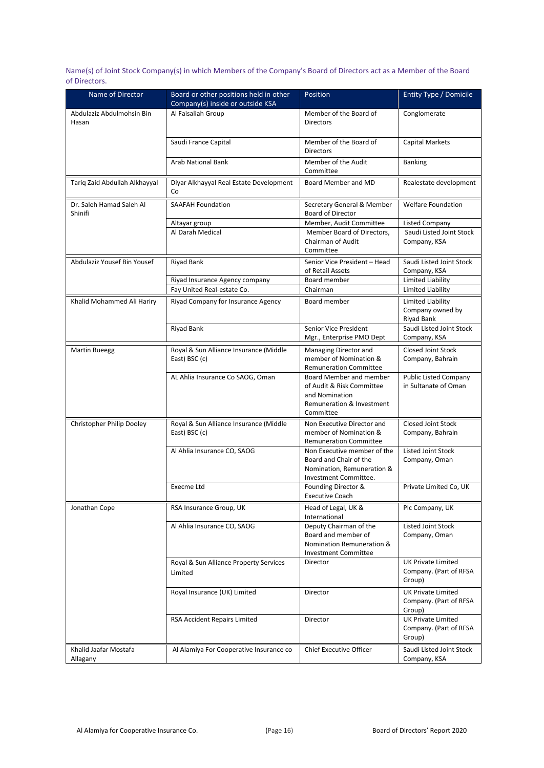Name(s) of Joint Stock Company(s) in which Members of the Company's Board of Directors act as a Member of the Board of Directors.

| Name of Director                    | Board or other positions held in other<br>Company(s) inside or outside KSA | Position                                                                                                         | <b>Entity Type / Domicile</b>                                 |
|-------------------------------------|----------------------------------------------------------------------------|------------------------------------------------------------------------------------------------------------------|---------------------------------------------------------------|
| Abdulaziz Abdulmohsin Bin<br>Hasan  | Al Faisaliah Group                                                         | Member of the Board of<br><b>Directors</b>                                                                       | Conglomerate                                                  |
|                                     | Saudi France Capital                                                       | Member of the Board of<br><b>Directors</b>                                                                       | <b>Capital Markets</b>                                        |
|                                     | <b>Arab National Bank</b>                                                  | Member of the Audit<br>Committee                                                                                 | <b>Banking</b>                                                |
| Tariq Zaid Abdullah Alkhayyal       | Diyar Alkhayyal Real Estate Development<br>Co                              | Board Member and MD                                                                                              | Realestate development                                        |
| Dr. Saleh Hamad Saleh Al<br>Shinifi | <b>SAAFAH Foundation</b>                                                   | Secretary General & Member<br><b>Board of Director</b>                                                           | <b>Welfare Foundation</b>                                     |
|                                     | Altayar group                                                              | Member, Audit Committee                                                                                          | <b>Listed Company</b>                                         |
|                                     | Al Darah Medical                                                           | Member Board of Directors,<br>Chairman of Audit<br>Committee                                                     | Saudi Listed Joint Stock<br>Company, KSA                      |
| Abdulaziz Yousef Bin Yousef         | Riyad Bank                                                                 | Senior Vice President - Head<br>of Retail Assets                                                                 | Saudi Listed Joint Stock<br>Company, KSA                      |
|                                     | Riyad Insurance Agency company                                             | Board member                                                                                                     | Limited Liability                                             |
|                                     | Fay United Real-estate Co.                                                 | Chairman                                                                                                         | Limited Liability                                             |
| Khalid Mohammed Ali Hariry          | Riyad Company for Insurance Agency                                         | Board member                                                                                                     | Limited Liability<br>Company owned by<br><b>Riyad Bank</b>    |
|                                     | Riyad Bank                                                                 | Senior Vice President<br>Mgr., Enterprise PMO Dept                                                               | Saudi Listed Joint Stock<br>Company, KSA                      |
| <b>Martin Rueegg</b>                | Royal & Sun Alliance Insurance (Middle<br>East) BSC (c)                    | Managing Director and<br>member of Nomination &<br><b>Remuneration Committee</b>                                 | Closed Joint Stock<br>Company, Bahrain                        |
|                                     | AL Ahlia Insurance Co SAOG, Oman                                           | Board Member and member<br>of Audit & Risk Committee<br>and Nomination<br>Remuneration & Investment<br>Committee | <b>Public Listed Company</b><br>in Sultanate of Oman          |
| Christopher Philip Dooley           | Royal & Sun Alliance Insurance (Middle<br>East) BSC (c)                    | Non Executive Director and<br>member of Nomination &<br><b>Remuneration Committee</b>                            | Closed Joint Stock<br>Company, Bahrain                        |
|                                     | Al Ahlia Insurance CO, SAOG                                                | Non Executive member of the<br>Board and Chair of the<br>Nomination, Remuneration &<br>Investment Committee.     | <b>Listed Joint Stock</b><br>Company, Oman                    |
|                                     | Execme Ltd                                                                 | Founding Director &<br><b>Executive Coach</b>                                                                    | Private Limited Co, UK                                        |
| Jonathan Cope                       | RSA Insurance Group, UK                                                    | Head of Legal, UK &<br>International                                                                             | Plc Company, UK                                               |
|                                     | Al Ahlia Insurance CO, SAOG                                                | Deputy Chairman of the<br>Board and member of<br>Nomination Remuneration &<br><b>Investment Committee</b>        | <b>Listed Joint Stock</b><br>Company, Oman                    |
|                                     | Royal & Sun Alliance Property Services<br>Limited                          | <b>Director</b>                                                                                                  | <b>UK Private Limited</b><br>Company. (Part of RFSA<br>Group) |
|                                     | Royal Insurance (UK) Limited                                               | Director                                                                                                         | <b>UK Private Limited</b><br>Company. (Part of RFSA<br>Group) |
|                                     | <b>RSA Accident Repairs Limited</b>                                        | Director                                                                                                         | <b>UK Private Limited</b><br>Company. (Part of RFSA<br>Group) |
| Khalid Jaafar Mostafa<br>Allagany   | Al Alamiya For Cooperative Insurance co                                    | <b>Chief Executive Officer</b>                                                                                   | Saudi Listed Joint Stock<br>Company, KSA                      |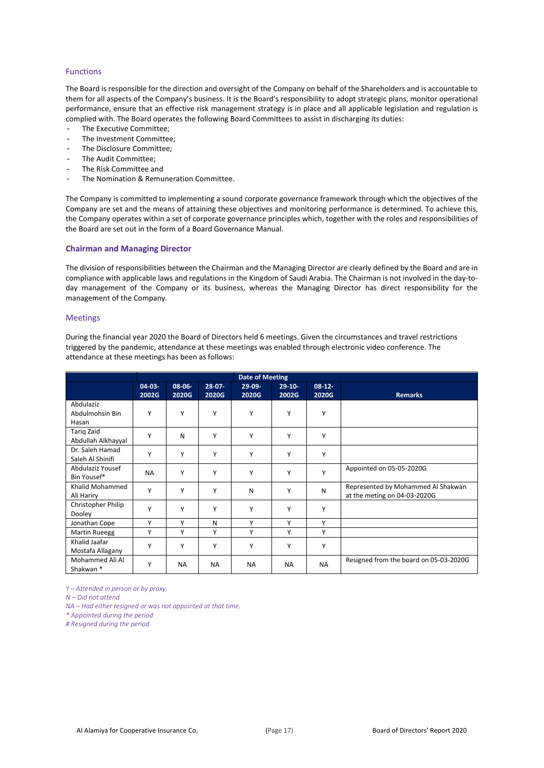### Functions

The Board is responsible for the direction and oversight of the Company on behalf of the Shareholders and is accountable to them for all aspects of the Company's business. It is the Board's responsibility to adopt strategic plans, monitor operational performance, ensure that an effective risk management strategy is in place and all applicable legislation and regulation is complied with. The Board operates the following Board Committees to assist in discharging its duties:

- The Executive Committee;
- The Investment Committee:
- The Disclosure Committee:
- The Audit Committee;
- The Risk Committee and
- The Nomination & Remuneration Committee.

The Company is committed to implementing a sound corporate governance framework through which the objectives of the Company are set and the means of attaining these objectives and monitoring performance is determined. To achieve this, the Company operates within a set of corporate governance principles which, together with the roles and responsibilities of the Board are set out in the form of a Board Governance Manual.

#### **Chairman and Managing Director**

The division of responsibilities between the Chairman and the Managing Director are clearly defined by the Board and are in compliance with applicable laws and regulations in the Kingdom of Saudi Arabia. The Chairman is not involved in the day-today management of the Company or its business, whereas the Managing Director has direct responsibility for the management of the Company.

#### Meetings

During the financial year 2020 the Board of Directors held 6 meetings. Given the circumstances and travel restrictions triggered by the pandemic, attendance at these meetings was enabled through electronic video conference. The attendance at these meetings has been as follows:

|                                         |             | <b>Date of Meeting</b> |           |           |             |             |                                                                    |
|-----------------------------------------|-------------|------------------------|-----------|-----------|-------------|-------------|--------------------------------------------------------------------|
|                                         | $04 - 03 -$ | 08-06-                 | $28 - 07$ | $29-09-$  | $29 - 10 -$ | $08 - 12 -$ |                                                                    |
|                                         | 2002G       | 2020G                  | 2020G     | 2020G     | 2002G       | 2020G       | <b>Remarks</b>                                                     |
| Abdulaziz<br>Abdulmohsin Bin<br>Hasan   | Υ           | Υ                      | Υ         | Υ         | Y           | Y           |                                                                    |
| <b>Tarig Zaid</b><br>Abdullah Alkhayyal | Y           | N                      | Y         | Υ         | Y           | Y           |                                                                    |
| Dr. Saleh Hamad<br>Saleh Al Shinifi     | Υ           | Υ                      | Υ         | Υ         | Y           | Y           |                                                                    |
| Abdulaziz Yousef<br>Bin Yousef*         | <b>NA</b>   | Υ                      | Υ         | Υ         | Y           | Y           | Appointed on 05-05-2020G                                           |
| Khalid Mohammed<br>Ali Hariry           | Υ           | Υ                      | Υ         | Ν         | Y           | N           | Represented by Mohammed Al Shakwan<br>at the meting on 04-03-2020G |
| Christopher Philip<br>Dooley            | Υ           | Υ                      | Υ         | Υ         | Y           | Υ           |                                                                    |
| Jonathan Cope                           | Υ           | Y                      | N         | Y         | Y           | Y           |                                                                    |
| <b>Martin Rueegg</b>                    | Υ           | Y                      | Υ         | Υ         | Y           | Y           |                                                                    |
| Khalid Jaafar<br>Mostafa Allagany       | Υ           | Υ                      | Υ         | Υ         | Y           | Υ           |                                                                    |
| Mohammed Ali Al<br>Shakwan <sup>*</sup> | Υ           | <b>NA</b>              | <b>NA</b> | <b>NA</b> | <b>NA</b>   | <b>NA</b>   | Resigned from the board on 05-03-2020G                             |

*Y – Attended in person or by proxy.* 

*N – Did not attend*

*NA – Had either resigned or was not appointed at that time.*

*\* Appointed during the period*

*# Resigned during the period*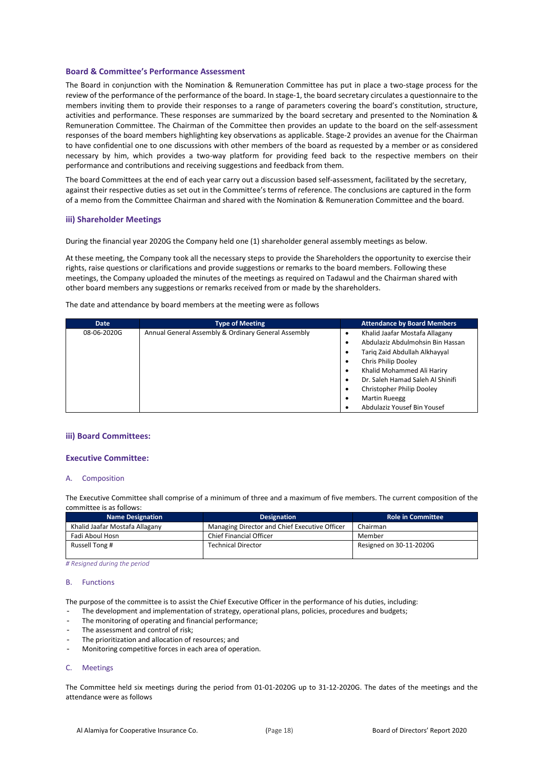#### **Board & Committee's Performance Assessment**

The Board in conjunction with the Nomination & Remuneration Committee has put in place a two-stage process for the review of the performance of the performance of the board. In stage-1, the board secretary circulates a questionnaire to the members inviting them to provide their responses to a range of parameters covering the board's constitution, structure, activities and performance. These responses are summarized by the board secretary and presented to the Nomination & Remuneration Committee. The Chairman of the Committee then provides an update to the board on the self-assessment responses of the board members highlighting key observations as applicable. Stage-2 provides an avenue for the Chairman to have confidential one to one discussions with other members of the board as requested by a member or as considered necessary by him, which provides a two-way platform for providing feed back to the respective members on their performance and contributions and receiving suggestions and feedback from them.

The board Committees at the end of each year carry out a discussion based self-assessment, facilitated by the secretary, against their respective duties as set out in the Committee's terms of reference. The conclusions are captured in the form of a memo from the Committee Chairman and shared with the Nomination & Remuneration Committee and the board.

#### **iii) Shareholder Meetings**

During the financial year 2020G the Company held one (1) shareholder general assembly meetings as below.

At these meeting, the Company took all the necessary steps to provide the Shareholders the opportunity to exercise their rights, raise questions or clarifications and provide suggestions or remarks to the board members. Following these meetings, the Company uploaded the minutes of the meetings as required on Tadawul and the Chairman shared with other board members any suggestions or remarks received from or made by the shareholders.

The date and attendance by board members at the meeting were as follows

| <b>Date</b> | <b>Type of Meeting</b>                              | <b>Attendance by Board Members</b> |
|-------------|-----------------------------------------------------|------------------------------------|
| 08-06-2020G | Annual General Assembly & Ordinary General Assembly | Khalid Jaafar Mostafa Allagany     |
|             |                                                     | Abdulaziz Abdulmohsin Bin Hassan   |
|             |                                                     | Tarig Zaid Abdullah Alkhayyal      |
|             |                                                     | Chris Philip Dooley                |
|             |                                                     | Khalid Mohammed Ali Hariry         |
|             |                                                     | Dr. Saleh Hamad Saleh Al Shinifi   |
|             |                                                     | Christopher Philip Dooley          |
|             |                                                     | <b>Martin Rueegg</b>               |
|             |                                                     | Abdulaziz Yousef Bin Yousef        |

#### **iii) Board Committees:**

#### **Executive Committee:**

#### A. Composition

The Executive Committee shall comprise of a minimum of three and a maximum of five members. The current composition of the committee is as follows:

| <b>Name Designation</b>        | <b>Role in Committee</b>                      |                         |
|--------------------------------|-----------------------------------------------|-------------------------|
| Khalid Jaafar Mostafa Allagany | Managing Director and Chief Executive Officer | Chairman                |
| Fadi Aboul Hosn                | Chief Financial Officer                       | Member                  |
| Russell Tong #                 | <b>Technical Director</b>                     | Resigned on 30-11-2020G |

*# Resigned during the period*

#### B. Functions

The purpose of the committee is to assist the Chief Executive Officer in the performance of his duties, including:

- The development and implementation of strategy, operational plans, policies, procedures and budgets;
- The monitoring of operating and financial performance;
- The assessment and control of risk;
- The prioritization and allocation of resources; and
- Monitoring competitive forces in each area of operation.

#### C. Meetings

The Committee held six meetings during the period from 01-01-2020G up to 31-12-2020G. The dates of the meetings and the attendance were as follows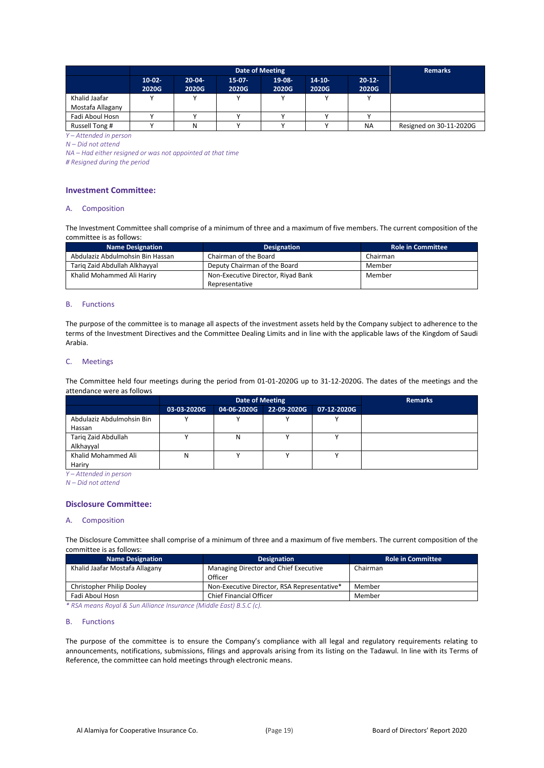|                                   |                   | <b>Remarks</b>    |                   |                 |                      |                    |                         |
|-----------------------------------|-------------------|-------------------|-------------------|-----------------|----------------------|--------------------|-------------------------|
|                                   | $10-02-$<br>2020G | $20-04-$<br>2020G | $15-07-$<br>2020G | 19-08-<br>2020G | $14 - 10 -$<br>2020G | $20 - 12$<br>2020G |                         |
| Khalid Jaafar<br>Mostafa Allagany |                   |                   |                   |                 |                      |                    |                         |
| Fadi Aboul Hosn                   |                   |                   |                   |                 |                      |                    |                         |
| Russell Tong #                    |                   | N                 |                   |                 |                      | <b>NA</b>          | Resigned on 30-11-2020G |
| Y-Attended in person              |                   |                   |                   |                 |                      |                    |                         |

*N – Did not attend*

*NA – Had either resigned or was not appointed at that time*

*# Resigned during the period*

#### **Investment Committee:**

#### A. Composition

The Investment Committee shall comprise of a minimum of three and a maximum of five members. The current composition of the committee is as follows:

| <b>Name Designation</b>          | <b>Designation</b>                 | <b>Role in Committee</b> |
|----------------------------------|------------------------------------|--------------------------|
| Abdulaziz Abdulmohsin Bin Hassan | Chairman of the Board              | Chairman                 |
| Tarig Zaid Abdullah Alkhayyal    | Deputy Chairman of the Board       | Member                   |
| Khalid Mohammed Ali Hariry       | Non-Executive Director, Riyad Bank | Member                   |
|                                  | Representative                     |                          |

#### B. Functions

The purpose of the committee is to manage all aspects of the investment assets held by the Company subject to adherence to the terms of the Investment Directives and the Committee Dealing Limits and in line with the applicable laws of the Kingdom of Saudi Arabia.

### C. Meetings

The Committee held four meetings during the period from 01-01-2020G up to 31-12-2020G. The dates of the meetings and the attendance were as follows

|                           |             | Date of Meeting | <b>Remarks</b> |             |  |
|---------------------------|-------------|-----------------|----------------|-------------|--|
|                           | 03-03-2020G | 04-06-2020G     | 22-09-2020G    | 07-12-2020G |  |
| Abdulaziz Abdulmohsin Bin |             |                 |                |             |  |
| Hassan                    |             |                 |                |             |  |
| Tariq Zaid Abdullah       |             | N               |                |             |  |
| Alkhayyal                 |             |                 |                |             |  |
| Khalid Mohammed Ali       | Ν           |                 |                |             |  |
| Hariry                    |             |                 |                |             |  |

*Y – Attended in person*

*N – Did not attend*

#### **Disclosure Committee:**

#### A. Composition

The Disclosure Committee shall comprise of a minimum of three and a maximum of five members. The current composition of the committee is as follows:

| <b>Name Designation</b>        | <b>Designation</b>                          | <b>Role in Committee</b> |
|--------------------------------|---------------------------------------------|--------------------------|
| Khalid Jaafar Mostafa Allagany | Managing Director and Chief Executive       | Chairman                 |
|                                | Officer                                     |                          |
| Christopher Philip Dooley      | Non-Executive Director, RSA Representative* | Member                   |
| Fadi Aboul Hosn                | <b>Chief Financial Officer</b>              | Member                   |

*\* RSA means Royal & Sun Alliance Insurance (Middle East) B.S.C (c).*

#### B. Functions

The purpose of the committee is to ensure the Company's compliance with all legal and regulatory requirements relating to announcements, notifications, submissions, filings and approvals arising from its listing on the Tadawul. In line with its Terms of Reference, the committee can hold meetings through electronic means.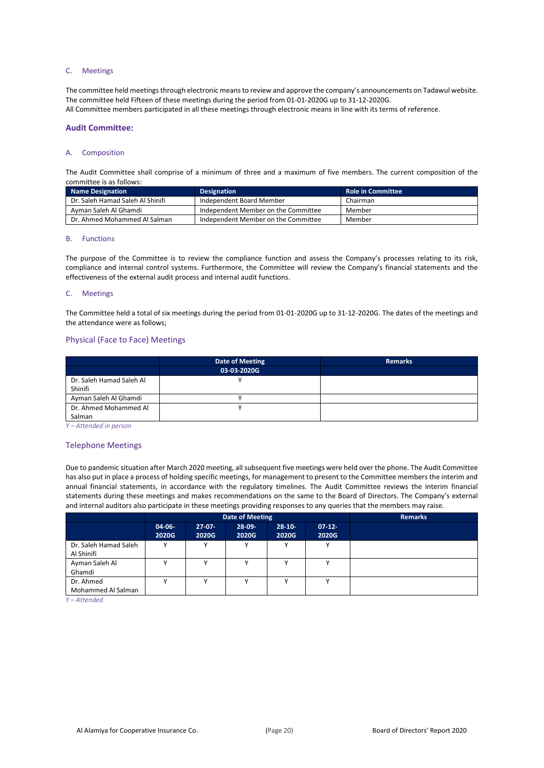#### C. Meetings

The committee held meetings through electronic means to review and approve the company's announcements on Tadawul website. The committee held Fifteen of these meetings during the period from 01-01-2020G up to 31-12-2020G. All Committee members participated in all these meetings through electronic means in line with its terms of reference.

#### **Audit Committee:**

#### A. Composition

The Audit Committee shall comprise of a minimum of three and a maximum of five members. The current composition of the committee is as follows:

| <b>Name Designation</b>          | <b>Designation</b>                  | <b>Role in Committee</b> |
|----------------------------------|-------------------------------------|--------------------------|
| Dr. Saleh Hamad Saleh Al Shinifi | Independent Board Member            | Chairman                 |
| Ayman Saleh Al Ghamdi            | Independent Member on the Committee | Member                   |
| Dr. Ahmed Mohammed Al Salman     | Independent Member on the Committee | Member                   |

#### B. Functions

The purpose of the Committee is to review the compliance function and assess the Company's processes relating to its risk, compliance and internal control systems. Furthermore, the Committee will review the Company's financial statements and the effectiveness of the external audit process and internal audit functions.

#### C. Meetings

The Committee held a total of six meetings during the period from 01-01-2020G up to 31-12-2020G. The dates of the meetings and the attendance were as follows;

#### Physical (Face to Face) Meetings

|                          | Date of Meeting | <b>Remarks</b> |
|--------------------------|-----------------|----------------|
|                          | 03-03-2020G     |                |
| Dr. Saleh Hamad Saleh Al |                 |                |
| Shinifi                  |                 |                |
| Ayman Saleh Al Ghamdi    |                 |                |
| Dr. Ahmed Mohammed Al    |                 |                |
| Salman                   |                 |                |

*Y – Attended in person*

#### Telephone Meetings

Due to pandemic situation after March 2020 meeting, all subsequent five meetings were held over the phone. The Audit Committee has also put in place a process of holding specific meetings, for management to present to the Committee members the interim and annual financial statements, in accordance with the regulatory timelines. The Audit Committee reviews the interim financial statements during these meetings and makes recommendations on the same to the Board of Directors. The Company's external and internal auditors also participate in these meetings providing responses to any queries that the members may raise.

|                                                                |                      |                   | Date of Meeting   | <b>Remarks</b>    |                   |  |
|----------------------------------------------------------------|----------------------|-------------------|-------------------|-------------------|-------------------|--|
|                                                                | $04 - 06 -$<br>2020G | $27-07-$<br>2020G | $28-09-$<br>2020G | $28-10-$<br>2020G | $07-12-$<br>2020G |  |
| Dr. Saleh Hamad Saleh<br>Al Shinifi                            | v                    |                   |                   | v                 | $\mathbf{v}$      |  |
| Ayman Saleh Al<br>Ghamdi                                       |                      |                   |                   |                   | $\mathbf{v}$      |  |
| Dr. Ahmed<br>Mohammed Al Salman<br>$\mathcal{U}$ $\mathcal{U}$ |                      |                   |                   |                   |                   |  |

*Y – Attended*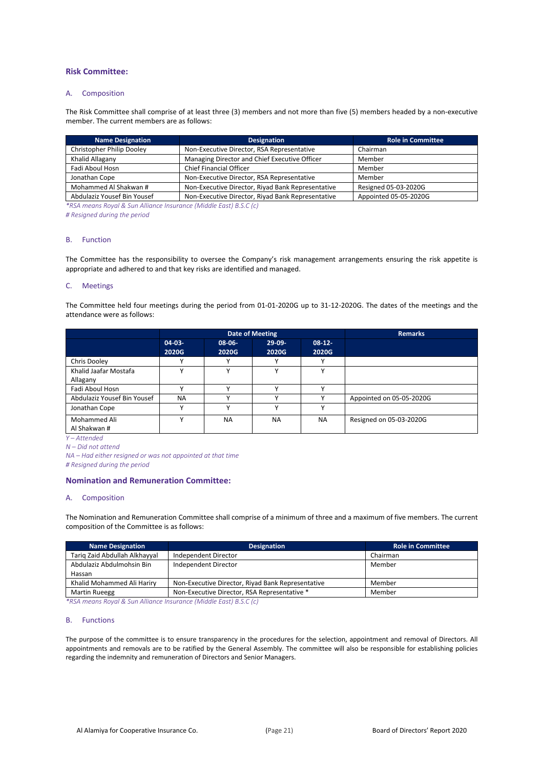#### **Risk Committee:**

#### A. Composition

The Risk Committee shall comprise of at least three (3) members and not more than five (5) members headed by a non-executive member. The current members are as follows:

| <b>Name Designation</b>     | <b>Designation</b>                                | <b>Role in Committee</b> |
|-----------------------------|---------------------------------------------------|--------------------------|
| Christopher Philip Dooley   | Non-Executive Director, RSA Representative        | Chairman                 |
| Khalid Allagany             | Managing Director and Chief Executive Officer     | Member                   |
| Fadi Aboul Hosn             | <b>Chief Financial Officer</b>                    | Member                   |
| Jonathan Cope               | Non-Executive Director, RSA Representative        | Member                   |
| Mohammed Al Shakwan #       | Non-Executive Director, Riyad Bank Representative | Resigned 05-03-2020G     |
| Abdulaziz Yousef Bin Yousef | Non-Executive Director, Riyad Bank Representative | Appointed 05-05-2020G    |

*\*RSA means Royal & Sun Alliance Insurance (Middle East) B.S.C (c)*

*# Resigned during the period*

#### B. Function

The Committee has the responsibility to oversee the Company's risk management arrangements ensuring the risk appetite is appropriate and adhered to and that key risks are identified and managed.

#### C. Meetings

The Committee held four meetings during the period from 01-01-2020G up to 31-12-2020G. The dates of the meetings and the attendance were as follows:

|                                   |                      |                 | <b>Date of Meeting</b> | <b>Remarks</b>     |                          |
|-----------------------------------|----------------------|-----------------|------------------------|--------------------|--------------------------|
|                                   | $04 - 03 -$<br>2020G | 08-06-<br>2020G | $29-09-$<br>2020G      | $08-12-1$<br>2020G |                          |
| Chris Dooley                      |                      | v               |                        | $\mathbf{v}$       |                          |
| Khalid Jaafar Mostafa<br>Allagany |                      |                 |                        |                    |                          |
| Fadi Aboul Hosn                   |                      | $\checkmark$    | $\checkmark$           | $\mathbf{v}$       |                          |
| Abdulaziz Yousef Bin Yousef       | <b>NA</b>            |                 |                        |                    | Appointed on 05-05-2020G |
| Jonathan Cope                     |                      |                 | $\checkmark$           | $\mathbf{v}$       |                          |
| Mohammed Ali<br>Al Shakwan #      |                      | <b>NA</b>       | <b>NA</b>              | <b>NA</b>          | Resigned on 05-03-2020G  |

*Y – Attended* 

*N – Did not attend*

*NA – Had either resigned or was not appointed at that time*

*# Resigned during the period*

#### **Nomination and Remuneration Committee:**

#### A. Composition

The Nomination and Remuneration Committee shall comprise of a minimum of three and a maximum of five members. The current composition of the Committee is as follows:

| <b>Name Designation</b>       | <b>Designation</b>                                | <b>Role in Committee</b> |
|-------------------------------|---------------------------------------------------|--------------------------|
| Tarig Zaid Abdullah Alkhayyal | Independent Director                              | Chairman                 |
| Abdulaziz Abdulmohsin Bin     | Independent Director                              | Member                   |
| Hassan                        |                                                   |                          |
| Khalid Mohammed Ali Hariry    | Non-Executive Director, Riyad Bank Representative | Member                   |
| Martin Rueegg                 | Non-Executive Director, RSA Representative *      | Member                   |

*\*RSA means Royal & Sun Alliance Insurance (Middle East) B.S.C (c)*

#### B. Functions

The purpose of the committee is to ensure transparency in the procedures for the selection, appointment and removal of Directors. All appointments and removals are to be ratified by the General Assembly. The committee will also be responsible for establishing policies regarding the indemnity and remuneration of Directors and Senior Managers.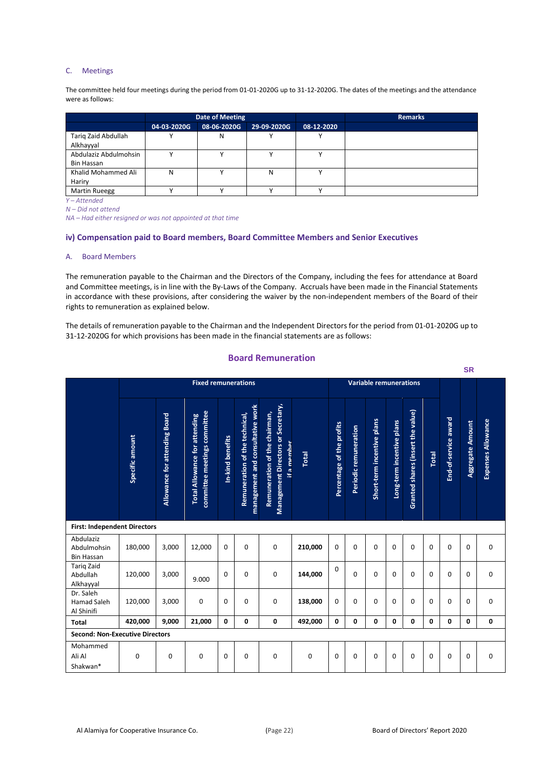#### C. Meetings

The committee held four meetings during the period from 01-01-2020G up to 31-12-2020G. The dates of the meetings and the attendance were as follows:

|                       |             | Date of Meeting |             |            | <b>Remarks</b> |
|-----------------------|-------------|-----------------|-------------|------------|----------------|
|                       | 04-03-2020G | 08-06-2020G     | 29-09-2020G | 08-12-2020 |                |
| Tariq Zaid Abdullah   |             | N               |             |            |                |
| Alkhayyal             |             |                 |             |            |                |
| Abdulaziz Abdulmohsin |             |                 |             |            |                |
| Bin Hassan            |             |                 |             |            |                |
| Khalid Mohammed Ali   | Ν           |                 | N           |            |                |
| Hariry                |             |                 |             |            |                |
| <b>Martin Rueegg</b>  |             |                 |             |            |                |

*Y – Attended* 

*N – Did not attend*

*NA – Had either resigned or was not appointed at that time*

#### **iv) Compensation paid to Board members, Board Committee Members and Senior Executives**

#### A. Board Members

The remuneration payable to the Chairman and the Directors of the Company, including the fees for attendance at Board and Committee meetings, is in line with the By-Laws of the Company. Accruals have been made in the Financial Statements in accordance with these provisions, after considering the waiver by the non-independent members of the Board of their rights to remuneration as explained below.

The details of remuneration payable to the Chairman and the Independent Directors for the period from 01-01-2020G up to 31-12-2020G for which provisions has been made in the financial statements are as follows:

### **Board Remuneration**

|                                               |                 |                               |                                                                      |                  |                                                                    |                                                                                    |             |                           |                       |                               |                           |                                   |          |                      | <b>SR</b>               |                    |
|-----------------------------------------------|-----------------|-------------------------------|----------------------------------------------------------------------|------------------|--------------------------------------------------------------------|------------------------------------------------------------------------------------|-------------|---------------------------|-----------------------|-------------------------------|---------------------------|-----------------------------------|----------|----------------------|-------------------------|--------------------|
|                                               |                 |                               | <b>Fixed remunerations</b>                                           |                  |                                                                    |                                                                                    |             |                           |                       | <b>Variable remunerations</b> |                           |                                   |          |                      |                         |                    |
|                                               | Specific amount | Allowance for attending Board | committee meetings committee<br><b>Total Allowance for attending</b> | In-kind benefits | management and consultative work<br>Remuneration of the technical, | Management Directors or Secretary,<br>Remuneration of the chairman,<br>if a memher | Total       | Percentage of the profits | Periodic remuneration | Short-term incentive plans    | Long-term incentive plans | Granted shares (insert the value) | Total    | End-of-service award | <b>Aggregate Amount</b> | Expenses Allowance |
| <b>First: Independent Directors</b>           |                 |                               |                                                                      |                  |                                                                    |                                                                                    |             |                           |                       |                               |                           |                                   |          |                      |                         |                    |
| Abdulaziz<br>Abdulmohsin<br><b>Bin Hassan</b> | 180,000         | 3,000                         | 12,000                                                               | $\Omega$         | $\Omega$                                                           | 0                                                                                  | 210,000     | 0                         | $\Omega$              | $\Omega$                      | 0                         | $\Omega$                          | $\Omega$ | $\Omega$             | $\Omega$                | 0                  |
| <b>Tarig Zaid</b><br>Abdullah<br>Alkhayyal    | 120.000         | 3,000                         | 9.000                                                                | $\Omega$         | $\Omega$                                                           | 0                                                                                  | 144,000     | $\Omega$                  | $\Omega$              | $\Omega$                      | 0                         | 0                                 | $\Omega$ | $\Omega$             | $\Omega$                | 0                  |
| Dr. Saleh<br><b>Hamad Saleh</b><br>Al Shinifi | 120,000         | 3,000                         | 0                                                                    | $\Omega$         | $\Omega$                                                           | 0                                                                                  | 138,000     | 0                         | $\Omega$              | $\Omega$                      | 0                         | 0                                 | $\Omega$ | $\Omega$             | $\Omega$                | $\mathbf 0$        |
| <b>Total</b>                                  | 420,000         | 9,000                         | 21,000                                                               | $\mathbf{0}$     | 0                                                                  | 0                                                                                  | 492,000     | 0                         | 0                     | 0                             | $\mathbf{0}$              | 0                                 | 0        | 0                    | 0                       | 0                  |
| <b>Second: Non-Executive Directors</b>        |                 |                               |                                                                      |                  |                                                                    |                                                                                    |             |                           |                       |                               |                           |                                   |          |                      |                         |                    |
| Mohammed<br>Ali Al<br>Shakwan*                | $\mathbf 0$     | 0                             | $\Omega$                                                             | 0                | $\Omega$                                                           | 0                                                                                  | $\mathbf 0$ | $\mathbf 0$               | $\Omega$              | $\Omega$                      | 0                         | 0                                 | $\Omega$ | $\Omega$             | $\Omega$                | $\mathbf 0$        |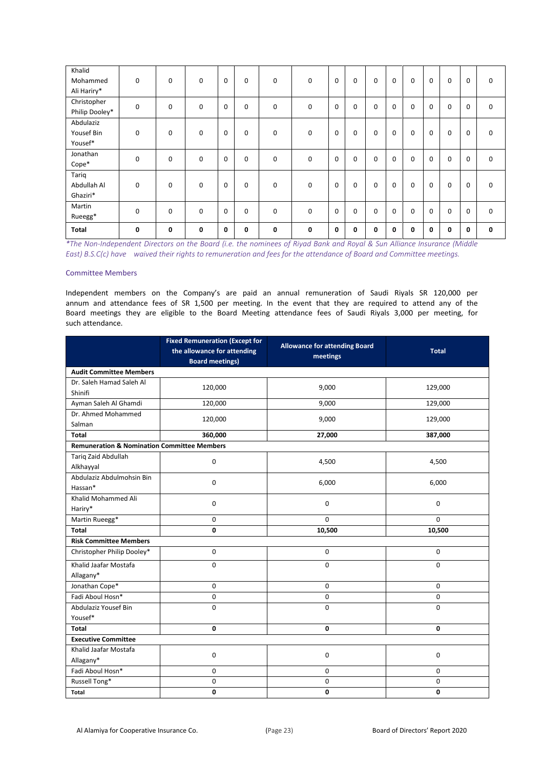| Khalid<br>Mohammed         | 0 | 0           | 0        | 0 | 0 | $\mathbf 0$ | $\mathbf 0$ | 0 | 0 | 0           | 0           | $\Omega$ | 0           | 0 | 0            | 0           |
|----------------------------|---|-------------|----------|---|---|-------------|-------------|---|---|-------------|-------------|----------|-------------|---|--------------|-------------|
| Ali Hariry*<br>Christopher |   |             |          |   |   |             |             |   |   |             |             |          |             |   |              |             |
| Philip Dooley*             | 0 | $\mathbf 0$ | 0        | 0 | 0 | $\mathbf 0$ | $\mathbf 0$ | 0 | 0 | $\mathbf 0$ | 0           | $\Omega$ | 0           | 0 | $\mathbf 0$  | 0           |
| Abdulaziz                  |   |             |          |   |   |             |             |   |   |             |             |          |             |   |              |             |
| Yousef Bin                 | 0 | 0           | 0        | 0 | 0 | 0           | $\mathbf 0$ | 0 | 0 | 0           | 0           | 0        | 0           | 0 | 0            | 0           |
| Yousef*                    |   |             |          |   |   |             |             |   |   |             |             |          |             |   |              |             |
| Jonathan                   | 0 | 0           | $\Omega$ | 0 | 0 | $\mathbf 0$ | 0           | 0 | 0 | $\mathbf 0$ | 0           | $\Omega$ | 0           | 0 | $\mathbf 0$  | 0           |
| Cope*                      |   |             |          |   |   |             |             |   |   |             |             |          |             |   |              |             |
| Tariq                      |   |             |          |   |   |             |             |   |   |             |             |          |             |   |              |             |
| Abdullah Al                | 0 | 0           | $\Omega$ | 0 | 0 | 0           | $\mathbf 0$ | 0 | 0 | $\mathbf 0$ | 0           | $\Omega$ | 0           | 0 | 0            | 0           |
| Ghaziri*                   |   |             |          |   |   |             |             |   |   |             |             |          |             |   |              |             |
| Martin                     | 0 | $\mathbf 0$ | $\Omega$ | 0 | 0 | $\mathbf 0$ | $\mathbf 0$ | 0 | 0 | $\mathbf 0$ | $\mathbf 0$ | $\Omega$ | $\mathbf 0$ | 0 | $\mathbf 0$  | 0           |
| Rueegg*                    |   |             |          |   |   |             |             |   |   |             |             |          |             |   |              |             |
| <b>Total</b>               | 0 | 0           | 0        | 0 | 0 | $\mathbf 0$ | 0           | 0 | 0 | 0           | 0           | $\Omega$ | 0           | 0 | $\mathbf{0}$ | $\mathbf 0$ |

*\*The Non-Independent Directors on the Board (i.e. the nominees of Riyad Bank and Royal & Sun Alliance Insurance (Middle East) B.S.C(c) have waived their rights to remuneration and fees for the attendance of Board and Committee meetings.*

#### Committee Members

Independent members on the Company's are paid an annual remuneration of Saudi Riyals SR 120,000 per annum and attendance fees of SR 1,500 per meeting. In the event that they are required to attend any of the Board meetings they are eligible to the Board Meeting attendance fees of Saudi Riyals 3,000 per meeting, for such attendance.

|                                                        | <b>Fixed Remuneration (Except for</b> | <b>Allowance for attending Board</b> |              |  |  |  |
|--------------------------------------------------------|---------------------------------------|--------------------------------------|--------------|--|--|--|
|                                                        | the allowance for attending           | meetings                             | <b>Total</b> |  |  |  |
|                                                        | <b>Board meetings)</b>                |                                      |              |  |  |  |
| <b>Audit Committee Members</b>                         |                                       |                                      |              |  |  |  |
| Dr. Saleh Hamad Saleh Al<br>Shinifi                    | 120,000                               | 9,000                                | 129,000      |  |  |  |
| Ayman Saleh Al Ghamdi                                  | 120,000                               | 9,000                                | 129,000      |  |  |  |
| Dr. Ahmed Mohammed<br>Salman                           | 120,000                               | 9,000                                | 129,000      |  |  |  |
| <b>Total</b>                                           | 360,000                               | 27,000                               | 387,000      |  |  |  |
| <b>Remuneration &amp; Nomination Committee Members</b> |                                       |                                      |              |  |  |  |
| Tariq Zaid Abdullah<br>Alkhayyal                       | $\pmb{0}$                             | 4,500                                | 4,500        |  |  |  |
| Abdulaziz Abdulmohsin Bin<br>Hassan*                   | $\pmb{0}$                             | 6,000                                | 6,000        |  |  |  |
| Khalid Mohammed Ali<br>Hariry*                         | 0                                     | 0                                    | $\mathbf 0$  |  |  |  |
| Martin Rueegg*                                         | $\Omega$                              | $\Omega$                             | $\Omega$     |  |  |  |
| <b>Total</b>                                           | 0                                     | 10,500                               | 10,500       |  |  |  |
| <b>Risk Committee Members</b>                          |                                       |                                      |              |  |  |  |
| Christopher Philip Dooley*                             | $\mathsf 0$                           | 0                                    | $\mathbf 0$  |  |  |  |
| Khalid Jaafar Mostafa<br>Allagany*                     | 0                                     | 0                                    | $\mathbf 0$  |  |  |  |
| Jonathan Cope*                                         | $\mathsf 0$                           | 0                                    | $\mathbf 0$  |  |  |  |
| Fadi Aboul Hosn*                                       | $\mathbf 0$                           | 0                                    | 0            |  |  |  |
| Abdulaziz Yousef Bin<br>Yousef*                        | 0                                     | 0                                    | $\mathbf 0$  |  |  |  |
| <b>Total</b>                                           | $\mathbf 0$                           | 0                                    | 0            |  |  |  |
| <b>Executive Committee</b>                             |                                       |                                      |              |  |  |  |
| Khalid Jaafar Mostafa                                  | 0                                     | 0                                    | $\mathbf 0$  |  |  |  |
| Allagany*                                              |                                       |                                      |              |  |  |  |
| Fadi Aboul Hosn*                                       | 0                                     | 0                                    | $\mathbf 0$  |  |  |  |
| Russell Tong*                                          | 0                                     | 0                                    | 0            |  |  |  |
| Total                                                  | 0                                     | 0                                    | 0            |  |  |  |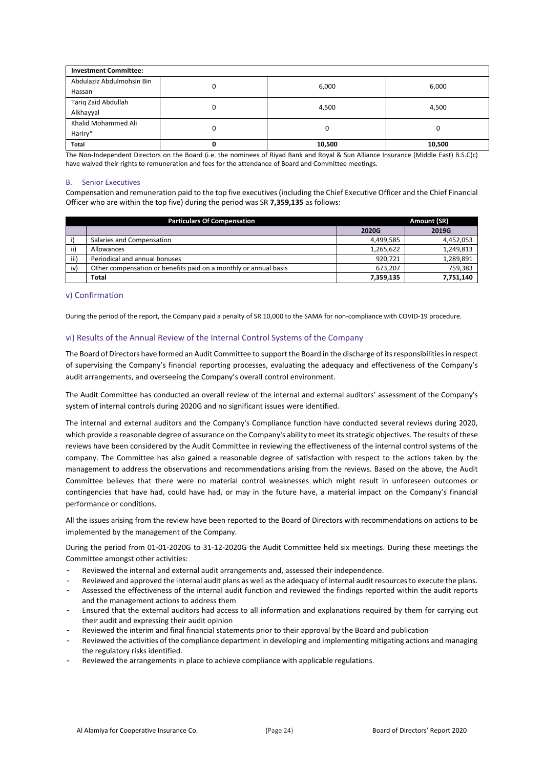| <b>Investment Committee:</b> |   |        |        |  |  |  |  |
|------------------------------|---|--------|--------|--|--|--|--|
| Abdulaziz Abdulmohsin Bin    | 0 | 6,000  | 6,000  |  |  |  |  |
| Hassan                       |   |        |        |  |  |  |  |
| Tariq Zaid Abdullah          |   | 4,500  | 4,500  |  |  |  |  |
| Alkhayyal                    |   |        |        |  |  |  |  |
| Khalid Mohammed Ali          | 0 | 0      |        |  |  |  |  |
| Hariry*                      |   |        |        |  |  |  |  |
| <b>Total</b>                 |   | 10,500 | 10,500 |  |  |  |  |

The Non-Independent Directors on the Board (i.e. the nominees of Riyad Bank and Royal & Sun Alliance Insurance (Middle East) B.S.C(c) have waived their rights to remuneration and fees for the attendance of Board and Committee meetings.

#### B. Senior Executives

Compensation and remuneration paid to the top five executives (including the Chief Executive Officer and the Chief Financial Officer who are within the top five) during the period was SR **7,359,135** as follows:

|      | <b>Particulars Of Compensation</b>                               | Amount (SR) |           |  |  |
|------|------------------------------------------------------------------|-------------|-----------|--|--|
|      |                                                                  | 2020G       | 2019G     |  |  |
|      | Salaries and Compensation                                        | 4,499,585   | 4,452,053 |  |  |
| ii)  | Allowances                                                       | 1,265,622   | 1,249,813 |  |  |
| iii) | Periodical and annual bonuses                                    | 920.721     | 1,289,891 |  |  |
| iv)  | Other compensation or benefits paid on a monthly or annual basis | 673.207     | 759,383   |  |  |
|      | <b>Total</b>                                                     | 7,359,135   | 7,751,140 |  |  |

#### v) Confirmation

During the period of the report, the Company paid a penalty of SR 10,000 to the SAMA for non-compliance with COVID-19 procedure.

#### vi) Results of the Annual Review of the Internal Control Systems of the Company

The Board of Directors have formed an Audit Committee to support the Board in the discharge of its responsibilities in respect of supervising the Company's financial reporting processes, evaluating the adequacy and effectiveness of the Company's audit arrangements, and overseeing the Company's overall control environment.

The Audit Committee has conducted an overall review of the internal and external auditors' assessment of the Company's system of internal controls during 2020G and no significant issues were identified.

The internal and external auditors and the Company's Compliance function have conducted several reviews during 2020, which provide a reasonable degree of assurance on the Company's ability to meet its strategic objectives. The results of these reviews have been considered by the Audit Committee in reviewing the effectiveness of the internal control systems of the company. The Committee has also gained a reasonable degree of satisfaction with respect to the actions taken by the management to address the observations and recommendations arising from the reviews. Based on the above, the Audit Committee believes that there were no material control weaknesses which might result in unforeseen outcomes or contingencies that have had, could have had, or may in the future have, a material impact on the Company's financial performance or conditions.

All the issues arising from the review have been reported to the Board of Directors with recommendations on actions to be implemented by the management of the Company.

During the period from 01-01-2020G to 31-12-2020G the Audit Committee held six meetings. During these meetings the Committee amongst other activities:

- Reviewed the internal and external audit arrangements and, assessed their independence.
- Reviewed and approved the internal audit plans as well as the adequacy of internal audit resources to execute the plans.
- Assessed the effectiveness of the internal audit function and reviewed the findings reported within the audit reports and the management actions to address them
- Ensured that the external auditors had access to all information and explanations required by them for carrying out their audit and expressing their audit opinion
- Reviewed the interim and final financial statements prior to their approval by the Board and publication
- Reviewed the activities of the compliance department in developing and implementing mitigating actions and managing the regulatory risks identified.
- Reviewed the arrangements in place to achieve compliance with applicable regulations.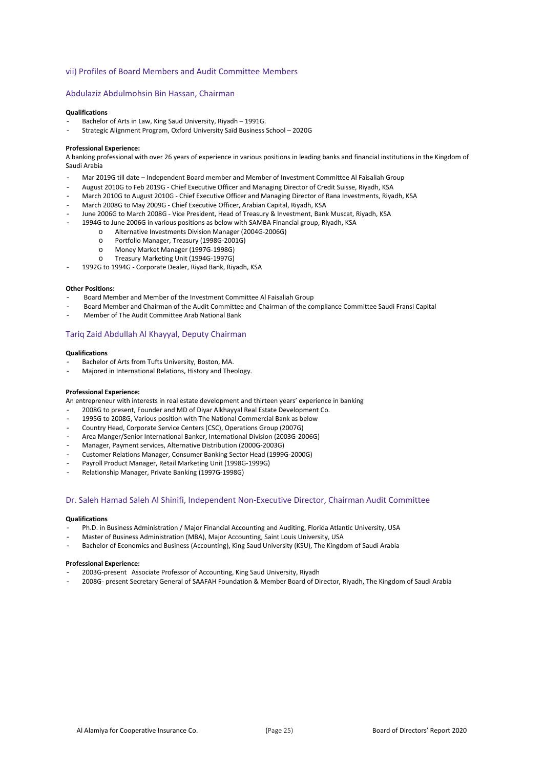#### vii) Profiles of Board Members and Audit Committee Members

#### Abdulaziz Abdulmohsin Bin Hassan, Chairman

#### **Qualifications**

- Bachelor of Arts in Law, King Saud University, Riyadh 1991G.
- Strategic Alignment Program, Oxford University Saïd Business School 2020G

#### **Professional Experience:**

A banking professional with over 26 years of experience in various positions in leading banks and financial institutions in the Kingdom of Saudi Arabia

- Mar 2019G till date Independent Board member and Member of Investment Committee Al Faisaliah Group
- August 2010G to Feb 2019G Chief Executive Officer and Managing Director of Credit Suisse, Riyadh, KSA
- March 2010G to August 2010G Chief Executive Officer and Managing Director of Rana Investments, Riyadh, KSA
- March 2008G to May 2009G Chief Executive Officer, Arabian Capital, Riyadh, KSA
- June 2006G to March 2008G Vice President, Head of Treasury & Investment, Bank Muscat, Riyadh, KSA
	- 1994G to June 2006G in various positions as below with SAMBA Financial group, Riyadh, KSA
		- o Alternative Investments Division Manager (2004G-2006G)<br>O Portfolio Manager. Treasury (1998G-2001G)
		- Portfolio Manager, Treasury (1998G-2001G)
		- o Money Market Manager (1997G-1998G)
		- Treasury Marketing Unit (1994G-1997G)

1992G to 1994G - Corporate Dealer, Riyad Bank, Riyadh, KSA

#### **Other Positions:**

- Board Member and Member of the Investment Committee Al Faisaliah Group
- Board Member and Chairman of the Audit Committee and Chairman of the compliance Committee Saudi Fransi Capital
- Member of The Audit Committee Arab National Bank

#### Tariq Zaid Abdullah Al Khayyal, Deputy Chairman

#### **Qualifications**

- Bachelor of Arts from Tufts University, Boston, MA.
- Majored in International Relations, History and Theology.

#### **Professional Experience:**

An entrepreneur with interests in real estate development and thirteen years' experience in banking

- 2008G to present, Founder and MD of Diyar Alkhayyal Real Estate Development Co.
- 1995G to 2008G, Various position with The National Commercial Bank as below
- Country Head, Corporate Service Centers (CSC), Operations Group (2007G)
- Area Manger/Senior International Banker, International Division (2003G-2006G)
- Manager, Payment services, Alternative Distribution (2000G-2003G)
- Customer Relations Manager, Consumer Banking Sector Head (1999G-2000G)
- Payroll Product Manager, Retail Marketing Unit (1998G-1999G)
- Relationship Manager, Private Banking (1997G-1998G)

#### Dr. Saleh Hamad Saleh Al Shinifi, Independent Non-Executive Director, Chairman Audit Committee

#### **Qualifications**

- Ph.D. in Business Administration / Major Financial Accounting and Auditing, Florida Atlantic University, USA
- Master of Business Administration (MBA), Major Accounting, Saint Louis University, USA
- Bachelor of Economics and Business (Accounting), King Saud University (KSU), The Kingdom of Saudi Arabia

#### **Professional Experience:**

- 2003G-present Associate Professor of Accounting, King Saud University, Riyadh
- 2008G- present Secretary General of SAAFAH Foundation & Member Board of Director, Riyadh, The Kingdom of Saudi Arabia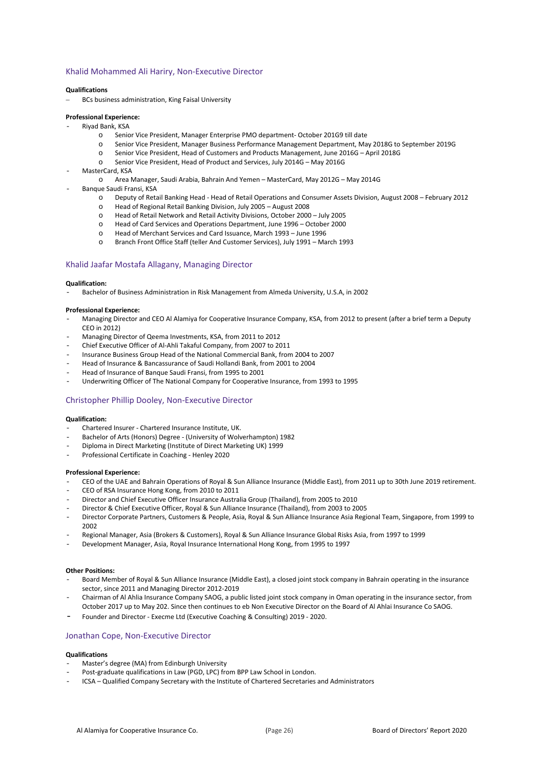#### Khalid Mohammed Ali Hariry, Non-Executive Director

#### **Qualifications**

BCs business administration, King Faisal University

#### **Professional Experience:**

- Riyad Bank, KSA<br>Senic
	- Senior Vice President, Manager Enterprise PMO department- October 201G9 till date
	- o Senior Vice President, Manager Business Performance Management Department, May 2018G to September 2019G
	- Senior Vice President, Head of Customers and Products Management, June 2016G April 2018G
	- o Senior Vice President, Head of Product and Services, July 2014G May 2016G
- MasterCard, KSA
	- o Area Manager, Saudi Arabia, Bahrain And Yemen MasterCard, May 2012G May 2014G
- Banque Saudi Fransi, KSA
	- o Deputy of Retail Banking Head Head of Retail Operations and Consumer Assets Division, August 2008 February 2012
	- o Head of Regional Retail Banking Division, July 2005 August 2008
	- o Head of Retail Network and Retail Activity Divisions, October 2000 July 2005
	- o Head of Card Services and Operations Department, June 1996 October 2000
	- o Head of Merchant Services and Card Issuance, March 1993 June 1996
	- Branch Front Office Staff (teller And Customer Services), July 1991 March 1993

#### Khalid Jaafar Mostafa Allagany, Managing Director

#### **Qualification:**

- Bachelor of Business Administration in Risk Management from Almeda University, U.S.A, in 2002

#### **Professional Experience:**

- Managing Director and CEO Al Alamiya for Cooperative Insurance Company, KSA, from 2012 to present (after a brief term a Deputy CEO in 2012)
- Managing Director of Qeema Investments, KSA, from 2011 to 2012
- Chief Executive Officer of Al-Ahli Takaful Company, from 2007 to 2011
- Insurance Business Group Head of the National Commercial Bank, from 2004 to 2007
- Head of Insurance & Bancassurance of Saudi Hollandi Bank, from 2001 to 2004
- Head of Insurance of Banque Saudi Fransi, from 1995 to 2001
- Underwriting Officer of The National Company for Cooperative Insurance, from 1993 to 1995

#### Christopher Phillip Dooley, Non-Executive Director

#### **Qualification:**

- Chartered Insurer Chartered Insurance Institute, UK.
- Bachelor of Arts (Honors) Degree (University of Wolverhampton) 1982
- Diploma in Direct Marketing (Institute of Direct Marketing UK) 1999
- Professional Certificate in Coaching Henley 2020

#### **Professional Experience:**

- CEO of the UAE and Bahrain Operations of Royal & Sun Alliance Insurance (Middle East), from 2011 up to 30th June 2019 retirement.
- CEO of RSA Insurance Hong Kong, from 2010 to 2011
- Director and Chief Executive Officer Insurance Australia Group (Thailand), from 2005 to 2010
- Director & Chief Executive Officer, Royal & Sun Alliance Insurance (Thailand), from 2003 to 2005
- Director Corporate Partners, Customers & People, Asia, Royal & Sun Alliance Insurance Asia Regional Team, Singapore, from 1999 to 2002
- Regional Manager, Asia (Brokers & Customers), Royal & Sun Alliance Insurance Global Risks Asia, from 1997 to 1999
- Development Manager, Asia, Royal Insurance International Hong Kong, from 1995 to 1997

#### **Other Positions:**

- Board Member of Royal & Sun Alliance Insurance (Middle East), a closed joint stock company in Bahrain operating in the insurance sector, since 2011 and Managing Director 2012-2019
- Chairman of Al Ahlia Insurance Company SAOG, a public listed joint stock company in Oman operating in the insurance sector, from October 2017 up to May 202. Since then continues to eb Non Executive Director on the Board of Al Ahlai Insurance Co SAOG.
- Founder and Director Execme Ltd (Executive Coaching & Consulting) 2019 2020.

#### Jonathan Cope, Non-Executive Director

#### **Qualifications**

- Master's degree (MA) from Edinburgh University
- Post-graduate qualifications in Law (PGD, LPC) from BPP Law School in London.
- ICSA Qualified Company Secretary with the Institute of Chartered Secretaries and Administrators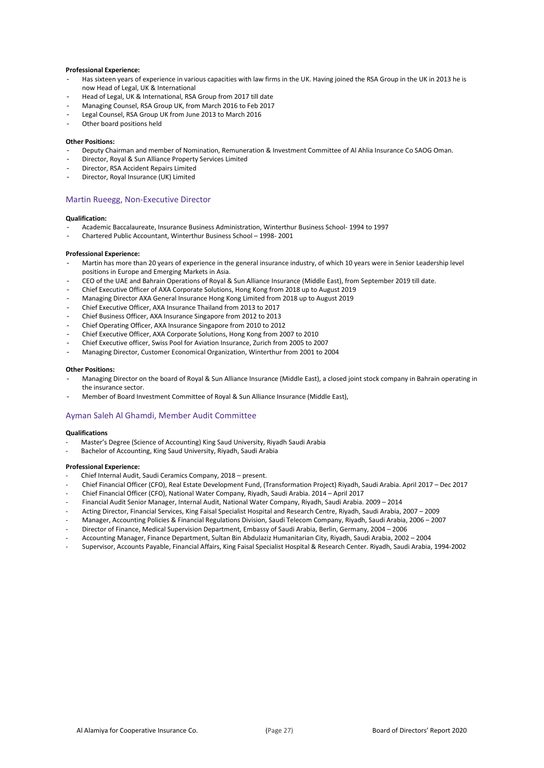#### **Professional Experience:**

- Has sixteen years of experience in various capacities with law firms in the UK. Having joined the RSA Group in the UK in 2013 he is now Head of Legal, UK & International
- Head of Legal, UK & International, RSA Group from 2017 till date
- Managing Counsel, RSA Group UK, from March 2016 to Feb 2017
- Legal Counsel, RSA Group UK from June 2013 to March 2016
- Other board positions held

#### **Other Positions:**

- Deputy Chairman and member of Nomination, Remuneration & Investment Committee of Al Ahlia Insurance Co SAOG Oman.
- Director, Royal & Sun Alliance Property Services Limited
- Director, RSA Accident Repairs Limited
- Director, Royal Insurance (UK) Limited

#### Martin Rueegg, Non-Executive Director

#### **Qualification:**

- Academic Baccalaureate, Insurance Business Administration, Winterthur Business School- 1994 to 1997
- Chartered Public Accountant, Winterthur Business School 1998- 2001

#### **Professional Experience:**

- Martin has more than 20 years of experience in the general insurance industry, of which 10 years were in Senior Leadership level positions in Europe and Emerging Markets in Asia.
- CEO of the UAE and Bahrain Operations of Royal & Sun Alliance Insurance (Middle East), from September 2019 till date.
- Chief Executive Officer of AXA Corporate Solutions, Hong Kong from 2018 up to August 2019
- Managing Director AXA General Insurance Hong Kong Limited from 2018 up to August 2019
- Chief Executive Officer, AXA Insurance Thailand from 2013 to 2017
- Chief Business Officer, AXA Insurance Singapore from 2012 to 2013
- Chief Operating Officer, AXA Insurance Singapore from 2010 to 2012
- Chief Executive Officer, AXA Corporate Solutions, Hong Kong from 2007 to 2010
- Chief Executive officer, Swiss Pool for Aviation Insurance, Zurich from 2005 to 2007
- Managing Director, Customer Economical Organization, Winterthur from 2001 to 2004

#### **Other Positions:**

- Managing Director on the board of Royal & Sun Alliance Insurance (Middle East), a closed joint stock company in Bahrain operating in the insurance sector.
- Member of Board Investment Committee of Royal & Sun Alliance Insurance (Middle East),

#### Ayman Saleh Al Ghamdi, Member Audit Committee

#### **Qualifications**

- Master's Degree (Science of Accounting) King Saud University, Riyadh Saudi Arabia
- Bachelor of Accounting, King Saud University, Riyadh, Saudi Arabia

#### **Professional Experience:**

- Chief Internal Audit, Saudi Ceramics Company, 2018 present.
- Chief Financial Officer (CFO), Real Estate Development Fund, (Transformation Project) Riyadh, Saudi Arabia. April 2017 Dec 2017
- Chief Financial Officer (CFO), National Water Company, Riyadh, Saudi Arabia. 2014 April 2017
- Financial Audit Senior Manager, Internal Audit, National Water Company, Riyadh, Saudi Arabia. 2009 2014
- Acting Director, Financial Services, King Faisal Specialist Hospital and Research Centre, Riyadh, Saudi Arabia, 2007 2009
- Manager, Accounting Policies & Financial Regulations Division, Saudi Telecom Company, Riyadh, Saudi Arabia, 2006 2007
- Director of Finance, Medical Supervision Department, Embassy of Saudi Arabia, Berlin, Germany, 2004 2006
- Accounting Manager, Finance Department, Sultan Bin Abdulaziz Humanitarian City, Riyadh, Saudi Arabia, 2002 2004
- Supervisor, Accounts Payable, Financial Affairs, King Faisal Specialist Hospital & Research Center. Riyadh, Saudi Arabia, 1994-2002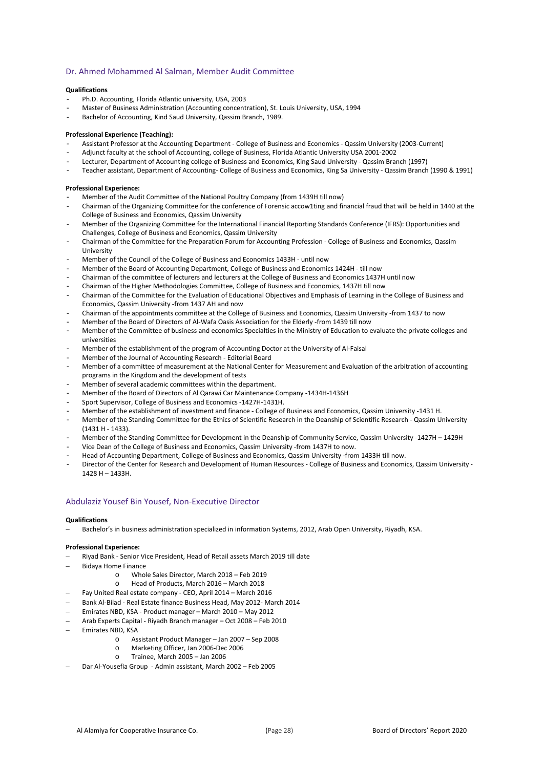### Dr. Ahmed Mohammed Al Salman, Member Audit Committee

#### **Qualifications**

- Ph.D. Accounting, Florida Atlantic university, USA, 2003
- Master of Business Administration (Accounting concentration), St. Louis University, USA, 1994
- Bachelor of Accounting, Kind Saud University, Qassim Branch, 1989.

#### **Professional Experience (Teaching):**

- Assistant Professor at the Accounting Department College of Business and Economics Qassim University (2003-Current)
- Adjunct faculty at the school of Accounting, college of Business, Florida Atlantic University USA 2001-2002
- Lecturer, Department of Accounting college of Business and Economics, King Saud University Qassim Branch (1997)
- Teacher assistant, Department of Accounting- College of Business and Economics, King Sa University Qassim Branch (1990 & 1991)

#### **Professional Experience:**

- Member of the Audit Committee of the National Poultry Company (from 1439H till now)
- Chairman of the Organizing Committee for the conference of Forensic accow1ting and financial fraud that will be held in 1440 at the College of Business and Economics, Qassim University
- Member of the Organizing Committee for the International Financial Reporting Standards Conference (IFRS): Opportunities and Challenges, College of Business and Economics, Qassim University
- Chairman of the Committee for the Preparation Forum for Accounting Profession College of Business and Economics, Qassim University
- Member of the Council of the College of Business and Economics 1433H until now
- Member of the Board of Accounting Department, College of Business and Economics 1424H till now
- Chairman of the committee of lecturers and lecturers at the College of Business and Economics 1437H until now
- Chairman of the Higher Methodologies Committee, College of Business and Economics, 1437H till now
- Chairman of the Committee for the Evaluation of Educational Objectives and Emphasis of Learning in the College of Business and Economics, Qassim University -from 1437 AH and now
- Chairman of the appointments committee at the College of Business and Economics, Qassim University -from 1437 to now
- Member of the Board of Directors of Al-Wafa Oasis Association for the Elderly -from 1439 till now
- Member of the Committee of business and economics Specialties in the Ministry of Education to evaluate the private colleges and universities
- Member of the establishment of the program of Accounting Doctor at the University of Al-Faisal
- Member of the Journal of Accounting Research Editorial Board
- Member of a committee of measurement at the National Center for Measurement and Evaluation of the arbitration of accounting programs in the Kingdom and the development of tests
- Member of several academic committees within the department.
- Member of the Board of Directors of Al Qarawi Car Maintenance Company -1434H-1436H
- Sport Supervisor, College of Business and Economics -1427H-1431H.
- Member of the establishment of investment and finance College of Business and Economics, Qassim University -1431 H.
- Member of the Standing Committee for the Ethics of Scientific Research in the Deanship of Scientific Research Qassim University (1431 H - 1433).
- Member of the Standing Committee for Development in the Deanship of Community Service, Qassim University -1427H 1429H
- Vice Dean of the College of Business and Economics, Qassim University -from 1437H to now.
- Head of Accounting Department, College of Business and Economics, Qassim University -from 1433H till now.
- Director of the Center for Research and Development of Human Resources College of Business and Economics, Qassim University 1428 H – 1433H.

#### Abdulaziz Yousef Bin Yousef, Non-Executive Director

#### **Qualifications**

− Bachelor's in business administration specialized in information Systems, 2012, Arab Open University, Riyadh, KSA.

#### **Professional Experience:**

- − Riyad Bank Senior Vice President, Head of Retail assets March 2019 till date
- − Bidaya Home Finance
	-
	- o Whole Sales Director, March 2018 Feb 2019 Head of Products, March 2016 - March 2018
	- − Fay United Real estate company CEO, April 2014 March 2016
- − Bank Al-Bilad Real Estate finance Business Head, May 2012- March 2014
- − Emirates NBD, KSA Product manager March 2010 May 2012
- − Arab Experts Capital Riyadh Branch manager Oct 2008 Feb 2010
- − Emirates NBD, KSA
	- o Assistant Product Manager Jan 2007 Sep 2008
	- o Marketing Officer, Jan 2006-Dec 2006
	- o Trainee, March 2005 Jan 2006
- − Dar Al-Yousefia Group Admin assistant, March 2002 Feb 2005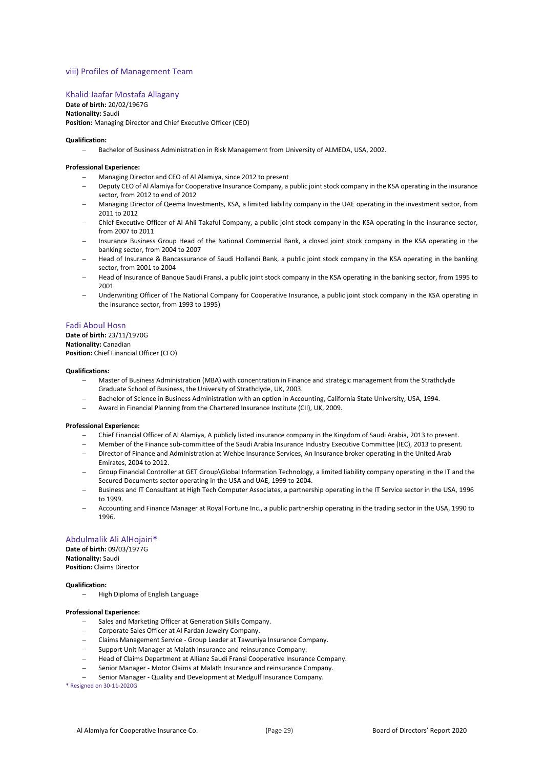#### viii) Profiles of Management Team

#### Khalid Jaafar Mostafa Allagany

**Date of birth:** 20/02/1967G **Nationality:** Saudi **Position:** Managing Director and Chief Executive Officer (CEO)

#### **Qualification:**

Bachelor of Business Administration in Risk Management from University of ALMEDA, USA, 2002.

#### **Professional Experience:**

- − Managing Director and CEO of Al Alamiya, since 2012 to present
- − Deputy CEO of Al Alamiya for Cooperative Insurance Company, a public joint stock company in the KSA operating in the insurance sector, from 2012 to end of 2012
- − Managing Director of Qeema Investments, KSA, a limited liability company in the UAE operating in the investment sector, from 2011 to 2012
- − Chief Executive Officer of Al-Ahli Takaful Company, a public joint stock company in the KSA operating in the insurance sector, from 2007 to 2011
- Insurance Business Group Head of the National Commercial Bank, a closed joint stock company in the KSA operating in the banking sector, from 2004 to 2007
- Head of Insurance & Bancassurance of Saudi Hollandi Bank, a public joint stock company in the KSA operating in the banking sector, from 2001 to 2004
- − Head of Insurance of Banque Saudi Fransi, a public joint stock company in the KSA operating in the banking sector, from 1995 to 2001
- Underwriting Officer of The National Company for Cooperative Insurance, a public joint stock company in the KSA operating in the insurance sector, from 1993 to 1995)

#### Fadi Aboul Hosn

**Date of birth:** 23/11/1970G **Nationality:** Canadian **Position:** Chief Financial Officer (CFO)

#### **Qualifications:**

- − Master of Business Administration (MBA) with concentration in Finance and strategic management from the Strathclyde Graduate School of Business, the University of Strathclyde, UK, 2003.
- Bachelor of Science in Business Administration with an option in Accounting, California State University, USA, 1994.
- − Award in Financial Planning from the Chartered Insurance Institute (CII), UK, 2009.

#### **Professional Experience:**

- − Chief Financial Officer of Al Alamiya, A publicly listed insurance company in the Kingdom of Saudi Arabia, 2013 to present.
- − Member of the Finance sub-committee of the Saudi Arabia Insurance Industry Executive Committee (IEC), 2013 to present.
- − Director of Finance and Administration at Wehbe Insurance Services, An Insurance broker operating in the United Arab Emirates, 2004 to 2012.
- − Group Financial Controller at GET Group\Global Information Technology, a limited liability company operating in the IT and the Secured Documents sector operating in the USA and UAE, 1999 to 2004.
- Business and IT Consultant at High Tech Computer Associates, a partnership operating in the IT Service sector in the USA, 1996 to 1999.
- − Accounting and Finance Manager at Royal Fortune Inc., a public partnership operating in the trading sector in the USA, 1990 to 1996.

#### Abdulmalik Ali AlHojairi**\***

**Date of birth:** 09/03/1977G **Nationality:** Saudi **Position:** Claims Director

#### **Qualification:**

− High Diploma of English Language

#### **Professional Experience:**

- Sales and Marketing Officer at Generation Skills Company.
- − Corporate Sales Officer at Al Fardan Jewelry Company.
- − Claims Management Service Group Leader at Tawuniya Insurance Company.
- − Support Unit Manager at Malath Insurance and reinsurance Company.
- − Head of Claims Department at Allianz Saudi Fransi Cooperative Insurance Company.
- − Senior Manager Motor Claims at Malath Insurance and reinsurance Company.
- − Senior Manager Quality and Development at Medgulf Insurance Company.

\* Resigned on 30-11-2020G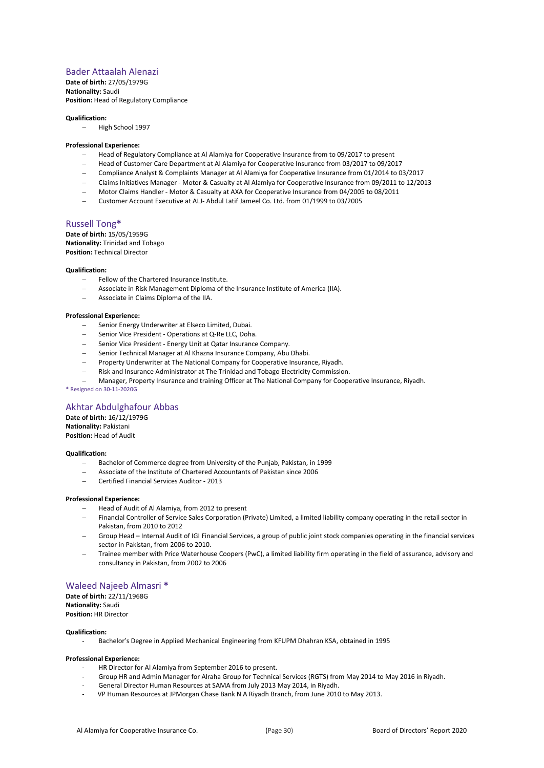### Bader Attaalah Alenazi

**Date of birth:** 27/05/1979G **Nationality:** Saudi **Position:** Head of Regulatory Compliance

#### **Qualification:**

− High School 1997

#### **Professional Experience:**

- − Head of Regulatory Compliance at Al Alamiya for Cooperative Insurance from to 09/2017 to present
- − Head of Customer Care Department at Al Alamiya for Cooperative Insurance from 03/2017 to 09/2017
- − Compliance Analyst & Complaints Manager at Al Alamiya for Cooperative Insurance from 01/2014 to 03/2017
- − Claims Initiatives Manager Motor & Casualty at Al Alamiya for Cooperative Insurance from 09/2011 to 12/2013
- − Motor Claims Handler Motor & Casualty at AXA for Cooperative Insurance from 04/2005 to 08/2011
- − Customer Account Executive at ALJ- Abdul Latif Jameel Co. Ltd. from 01/1999 to 03/2005

#### Russell Tong**\***

**Date of birth:** 15/05/1959G **Nationality:** Trinidad and Tobago **Position:** Technical Director

#### **Qualification:**

- Fellow of the Chartered Insurance Institute.
- − Associate in Risk Management Diploma of the Insurance Institute of America (IIA).
- − Associate in Claims Diploma of the IIA.

#### **Professional Experience:**

- − Senior Energy Underwriter at Elseco Limited, Dubai.
- − Senior Vice President Operations at Q-Re LLC, Doha.
- − Senior Vice President Energy Unit at Qatar Insurance Company.
- − Senior Technical Manager at Al Khazna Insurance Company, Abu Dhabi.
- Property Underwriter at The National Company for Cooperative Insurance, Riyadh.
- − Risk and Insurance Administrator at The Trinidad and Tobago Electricity Commission.
- − Manager, Property Insurance and training Officer at The National Company for Cooperative Insurance, Riyadh.

\* Resigned on 30-11-2020G

### Akhtar Abdulghafour Abbas

**Date of birth:** 16/12/1979G **Nationality:** Pakistani **Position:** Head of Audit

#### **Qualification:**

- − Bachelor of Commerce degree from University of the Punjab, Pakistan, in 1999
- − Associate of the Institute of Chartered Accountants of Pakistan since 2006
- − Certified Financial Services Auditor 2013

#### **Professional Experience:**

- − Head of Audit of Al Alamiya, from 2012 to present
- Financial Controller of Service Sales Corporation (Private) Limited, a limited liability company operating in the retail sector in Pakistan, from 2010 to 2012
- − Group Head Internal Audit of IGI Financial Services, a group of public joint stock companies operating in the financial services sector in Pakistan, from 2006 to 2010.
- − Trainee member with Price Waterhouse Coopers (PwC), a limited liability firm operating in the field of assurance, advisory and consultancy in Pakistan, from 2002 to 2006

### Waleed Najeeb Almasri **\***

**Date of birth:** 22/11/1968G **Nationality:** Saudi **Position:** HR Director

#### **Qualification:**

- Bachelor's Degree in Applied Mechanical Engineering from KFUPM Dhahran KSA, obtained in 1995

#### **Professional Experience:**

- HR Director for Al Alamiya from September 2016 to present.
- Group HR and Admin Manager for Alraha Group for Technical Services (RGTS) from May 2014 to May 2016 in Riyadh.
- General Director Human Resources at SAMA from July 2013 May 2014, in Riyadh.
- VP Human Resources at JPMorgan Chase Bank N A Riyadh Branch, from June 2010 to May 2013.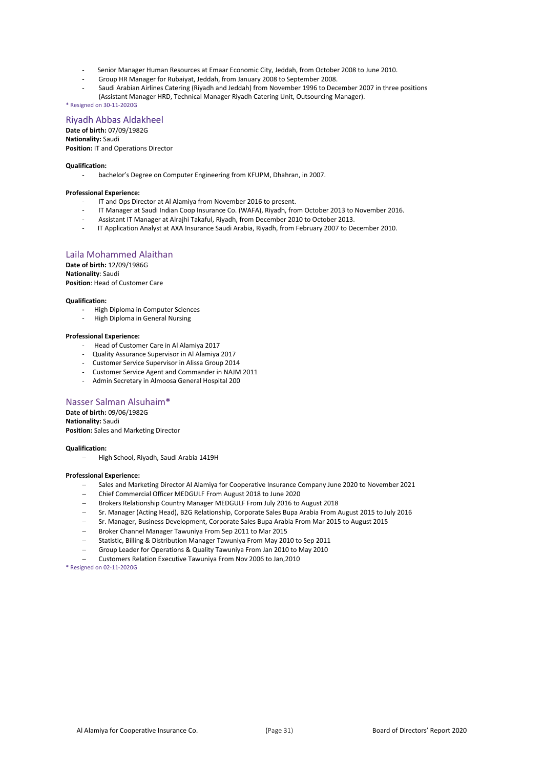- Senior Manager Human Resources at Emaar Economic City, Jeddah, from October 2008 to June 2010.
- Group HR Manager for Rubaiyat, Jeddah, from January 2008 to September 2008.
- Saudi Arabian Airlines Catering (Riyadh and Jeddah) from November 1996 to December 2007 in three positions
- (Assistant Manager HRD, Technical Manager Riyadh Catering Unit, Outsourcing Manager).

\* Resigned on 30-11-2020G

#### Riyadh Abbas Aldakheel

**Date of birth:** 07/09/1982G **Nationality:** Saudi **Position:** IT and Operations Director

#### **Qualification:**

- bachelor's Degree on Computer Engineering from KFUPM, Dhahran, in 2007.

#### **Professional Experience:**

- IT and Ops Director at Al Alamiya from November 2016 to present.
- IT Manager at Saudi Indian Coop Insurance Co. (WAFA), Riyadh, from October 2013 to November 2016.
- Assistant IT Manager at Alrajhi Takaful, Riyadh, from December 2010 to October 2013.
- IT Application Analyst at AXA Insurance Saudi Arabia, Riyadh, from February 2007 to December 2010.

### Laila Mohammed Alaithan

**Date of birth:** 12/09/1986G **Nationality**: Saudi **Position**: Head of Customer Care

#### **Qualification:**

- High Diploma in Computer Sciences
- High Diploma in General Nursing

#### **Professional Experience:**

- Head of Customer Care in Al Alamiya 2017
- Quality Assurance Supervisor in Al Alamiya 2017
- Customer Service Supervisor in Alissa Group 2014
- Customer Service Agent and Commander in NAJM 2011
- Admin Secretary in Almoosa General Hospital 200

#### Nasser Salman Alsuhaim**\***

**Date of birth:** 09/06/1982G **Nationality:** Saudi **Position:** Sales and Marketing Director

#### **Qualification:**

− High School, Riyadh, Saudi Arabia 1419H

#### **Professional Experience:**

- − Sales and Marketing Director Al Alamiya for Cooperative Insurance Company June 2020 to November 2021
- − Chief Commercial Officer MEDGULF From August 2018 to June 2020
- − Brokers Relationship Country Manager MEDGULF From July 2016 to August 2018
- − Sr. Manager (Acting Head), B2G Relationship, Corporate Sales Bupa Arabia From August 2015 to July 2016
- − Sr. Manager, Business Development, Corporate Sales Bupa Arabia From Mar 2015 to August 2015
- − Broker Channel Manager Tawuniya From Sep 2011 to Mar 2015
- − Statistic, Billing & Distribution Manager Tawuniya From May 2010 to Sep 2011
- − Group Leader for Operations & Quality Tawuniya From Jan 2010 to May 2010
- − Customers Relation Executive Tawuniya From Nov 2006 to Jan,2010

\* Resigned on 02-11-2020G